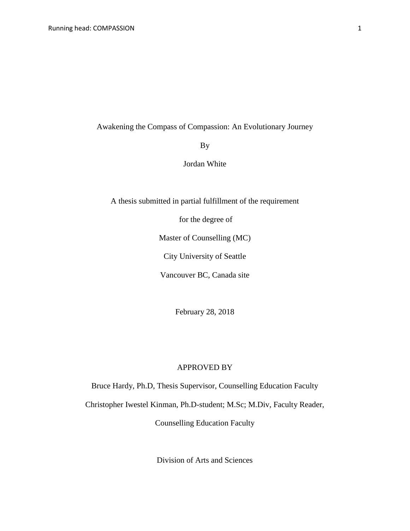Awakening the Compass of Compassion: An Evolutionary Journey

By

Jordan White

A thesis submitted in partial fulfillment of the requirement

for the degree of

Master of Counselling (MC)

City University of Seattle

Vancouver BC, Canada site

February 28, 2018

#### APPROVED BY

Bruce Hardy, Ph.D, Thesis Supervisor, Counselling Education Faculty

Christopher Iwestel Kinman, Ph.D-student; M.Sc; M.Div, Faculty Reader,

Counselling Education Faculty

Division of Arts and Sciences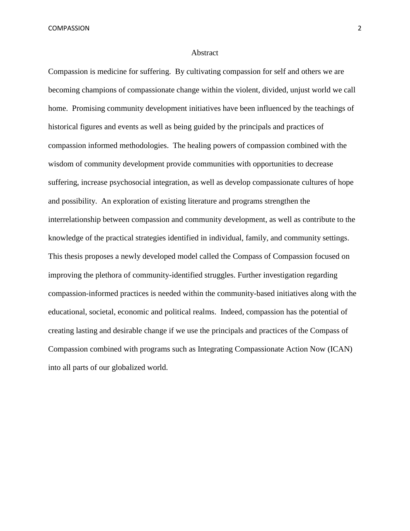#### Abstract

Compassion is medicine for suffering. By cultivating compassion for self and others we are becoming champions of compassionate change within the violent, divided, unjust world we call home. Promising community development initiatives have been influenced by the teachings of historical figures and events as well as being guided by the principals and practices of compassion informed methodologies. The healing powers of compassion combined with the wisdom of community development provide communities with opportunities to decrease suffering, increase psychosocial integration, as well as develop compassionate cultures of hope and possibility. An exploration of existing literature and programs strengthen the interrelationship between compassion and community development, as well as contribute to the knowledge of the practical strategies identified in individual, family, and community settings. This thesis proposes a newly developed model called the Compass of Compassion focused on improving the plethora of community-identified struggles. Further investigation regarding compassion-informed practices is needed within the community-based initiatives along with the educational, societal, economic and political realms. Indeed, compassion has the potential of creating lasting and desirable change if we use the principals and practices of the Compass of Compassion combined with programs such as Integrating Compassionate Action Now (ICAN) into all parts of our globalized world.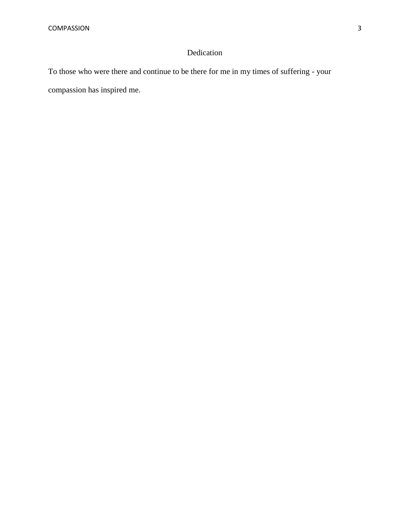## Dedication

To those who were there and continue to be there for me in my times of suffering - your compassion has inspired me.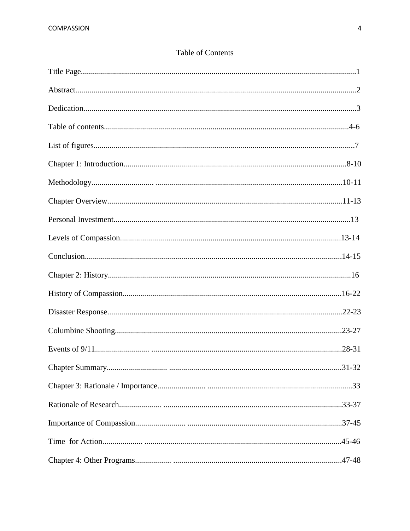# **Table of Contents**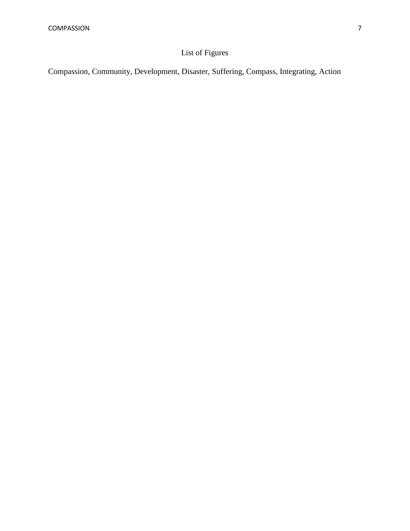# List of Figures

Compassion, Community, Development, Disaster, Suffering, Compass, Integrating, Action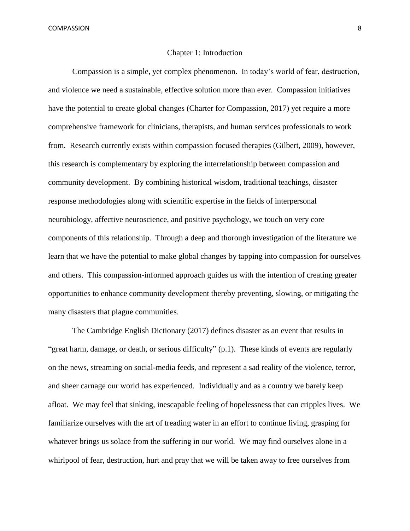#### Chapter 1: Introduction

Compassion is a simple, yet complex phenomenon. In today's world of fear, destruction, and violence we need a sustainable, effective solution more than ever. Compassion initiatives have the potential to create global changes (Charter for Compassion, 2017) yet require a more comprehensive framework for clinicians, therapists, and human services professionals to work from. Research currently exists within compassion focused therapies (Gilbert, 2009), however, this research is complementary by exploring the interrelationship between compassion and community development. By combining historical wisdom, traditional teachings, disaster response methodologies along with scientific expertise in the fields of interpersonal neurobiology, affective neuroscience, and positive psychology, we touch on very core components of this relationship. Through a deep and thorough investigation of the literature we learn that we have the potential to make global changes by tapping into compassion for ourselves and others. This compassion-informed approach guides us with the intention of creating greater opportunities to enhance community development thereby preventing, slowing, or mitigating the many disasters that plague communities.

The Cambridge English Dictionary (2017) defines disaster as an [event](http://dictionary.cambridge.org/dictionary/english/event) that [results](http://dictionary.cambridge.org/dictionary/english/result) in ["great](http://dictionary.cambridge.org/dictionary/english/great) [harm,](http://dictionary.cambridge.org/dictionary/english/harm) [damage,](http://dictionary.cambridge.org/dictionary/english/damage) or [death,](http://dictionary.cambridge.org/dictionary/english/death) or [serious](http://dictionary.cambridge.org/dictionary/english/serious) [difficulty"](http://dictionary.cambridge.org/dictionary/english/difficulty) (p.1). These kinds of events are regularly on the news, streaming on social-media feeds, and represent a sad reality of the violence, terror, and sheer carnage our world has experienced. Individually and as a country we barely keep afloat. We may feel that sinking, inescapable feeling of hopelessness that can cripples lives. We familiarize ourselves with the art of treading water in an effort to continue living, grasping for whatever brings us solace from the suffering in our world. We may find ourselves alone in a whirlpool of fear, destruction, hurt and pray that we will be taken away to free ourselves from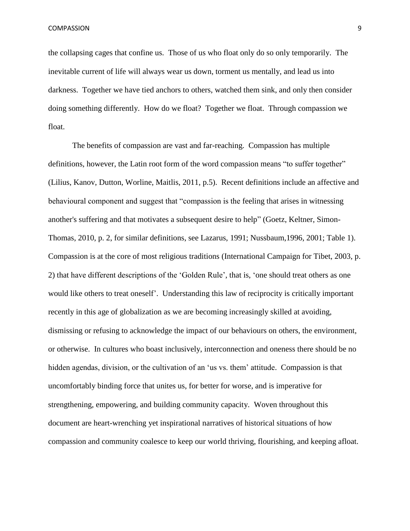the collapsing cages that confine us. Those of us who float only do so only temporarily. The inevitable current of life will always wear us down, torment us mentally, and lead us into darkness. Together we have tied anchors to others, watched them sink, and only then consider doing something differently. How do we float? Together we float. Through compassion we float.

The benefits of compassion are vast and far-reaching. Compassion has multiple definitions, however, the Latin root form of the word compassion means "to suffer together" (Lilius, Kanov, Dutton, Worline, Maitlis, 2011, p.5). Recent definitions include an affective and behavioural component and suggest that "compassion is the feeling that arises in witnessing another's suffering and that motivates a subsequent desire to help" (Goetz, Keltner, Simon-Thomas, 2010, p. 2, for similar definitions, see Lazarus, 1991; Nussbaum,1996, 2001; Table 1). Compassion is at the core of most religious traditions (International Campaign for Tibet, 2003, p. 2) that have different descriptions of the 'Golden Rule', that is, 'one should treat others as one would like others to treat oneself'. Understanding this law of reciprocity is critically important recently in this age of globalization as we are becoming increasingly skilled at avoiding, dismissing or refusing to acknowledge the impact of our behaviours on others, the environment, or otherwise. In cultures who boast inclusively, interconnection and oneness there should be no hidden agendas, division, or the cultivation of an 'us vs. them' attitude. Compassion is that uncomfortably binding force that unites us, for better for worse, and is imperative for strengthening, empowering, and building community capacity. Woven throughout this document are heart-wrenching yet inspirational narratives of historical situations of how compassion and community coalesce to keep our world thriving, flourishing, and keeping afloat.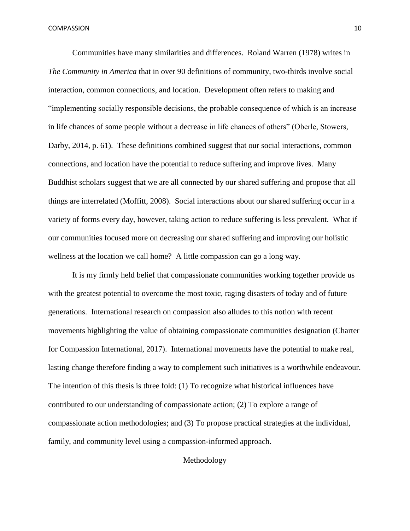Communities have many similarities and differences. Roland Warren (1978) writes in *The Community in America* that in over 90 definitions of community, two-thirds involve social interaction, common connections, and location. Development often refers to making and "implementing socially responsible decisions, the probable consequence of which is an increase in life chances of some people without a decrease in life chances of others" (Oberle, Stowers, Darby, 2014, p. 61). These definitions combined suggest that our social interactions, common connections, and location have the potential to reduce suffering and improve lives. Many Buddhist scholars suggest that we are all connected by our shared suffering and propose that all things are interrelated (Moffitt, 2008). Social interactions about our shared suffering occur in a variety of forms every day, however, taking action to reduce suffering is less prevalent. What if our communities focused more on decreasing our shared suffering and improving our holistic wellness at the location we call home? A little compassion can go a long way.

It is my firmly held belief that compassionate communities working together provide us with the greatest potential to overcome the most toxic, raging disasters of today and of future generations. International research on compassion also alludes to this notion with recent movements highlighting the value of obtaining compassionate communities designation (Charter for Compassion International, 2017). International movements have the potential to make real, lasting change therefore finding a way to complement such initiatives is a worthwhile endeavour. The intention of this thesis is three fold: (1) To recognize what historical influences have contributed to our understanding of compassionate action; (2) To explore a range of compassionate action methodologies; and (3) To propose practical strategies at the individual, family, and community level using a compassion-informed approach.

Methodology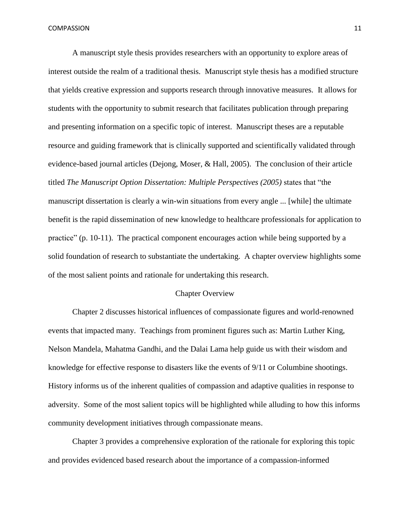A manuscript style thesis provides researchers with an opportunity to explore areas of interest outside the realm of a traditional thesis. Manuscript style thesis has a modified structure that yields creative expression and supports research through innovative measures. It allows for students with the opportunity to submit research that facilitates publication through preparing and presenting information on a specific topic of interest. Manuscript theses are a reputable resource and guiding framework that is clinically supported and scientifically validated through evidence-based journal articles (Dejong, Moser, & Hall, 2005). The conclusion of their article titled *The Manuscript Option Dissertation: Multiple Perspectives (2005)* states that "the manuscript dissertation is clearly a win-win situations from every angle ... [while] the ultimate benefit is the rapid dissemination of new knowledge to healthcare professionals for application to practice" (p. 10-11). The practical component encourages action while being supported by a solid foundation of research to substantiate the undertaking. A chapter overview highlights some of the most salient points and rationale for undertaking this research.

#### Chapter Overview

Chapter 2 discusses historical influences of compassionate figures and world-renowned events that impacted many. Teachings from prominent figures such as: Martin Luther King, Nelson Mandela, Mahatma Gandhi, and the Dalai Lama help guide us with their wisdom and knowledge for effective response to disasters like the events of 9/11 or Columbine shootings. History informs us of the inherent qualities of compassion and adaptive qualities in response to adversity. Some of the most salient topics will be highlighted while alluding to how this informs community development initiatives through compassionate means.

Chapter 3 provides a comprehensive exploration of the rationale for exploring this topic and provides evidenced based research about the importance of a compassion-informed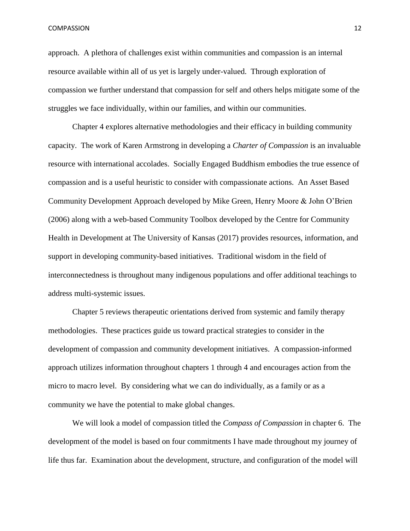approach. A plethora of challenges exist within communities and compassion is an internal resource available within all of us yet is largely under-valued. Through exploration of compassion we further understand that compassion for self and others helps mitigate some of the struggles we face individually, within our families, and within our communities.

Chapter 4 explores alternative methodologies and their efficacy in building community capacity. The work of Karen Armstrong in developing a *Charter of Compassion* is an invaluable resource with international accolades. Socially Engaged Buddhism embodies the true essence of compassion and is a useful heuristic to consider with compassionate actions. An Asset Based Community Development Approach developed by Mike Green, Henry Moore & John O'Brien (2006) along with a web-based Community Toolbox developed by the Centre for Community Health in Development at The University of Kansas (2017) provides resources, information, and support in developing community-based initiatives. Traditional wisdom in the field of interconnectedness is throughout many indigenous populations and offer additional teachings to address multi-systemic issues.

Chapter 5 reviews therapeutic orientations derived from systemic and family therapy methodologies. These practices guide us toward practical strategies to consider in the development of compassion and community development initiatives. A compassion-informed approach utilizes information throughout chapters 1 through 4 and encourages action from the micro to macro level. By considering what we can do individually, as a family or as a community we have the potential to make global changes.

We will look a model of compassion titled the *Compass of Compassion* in chapter 6. The development of the model is based on four commitments I have made throughout my journey of life thus far. Examination about the development, structure, and configuration of the model will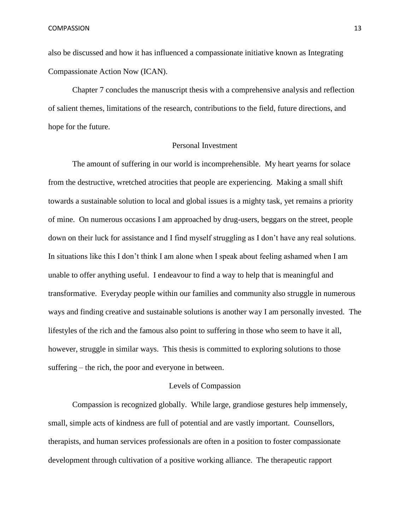also be discussed and how it has influenced a compassionate initiative known as Integrating Compassionate Action Now (ICAN).

Chapter 7 concludes the manuscript thesis with a comprehensive analysis and reflection of salient themes, limitations of the research, contributions to the field, future directions, and hope for the future.

## Personal Investment

The amount of suffering in our world is incomprehensible. My heart yearns for solace from the destructive, wretched atrocities that people are experiencing. Making a small shift towards a sustainable solution to local and global issues is a mighty task, yet remains a priority of mine. On numerous occasions I am approached by drug-users, beggars on the street, people down on their luck for assistance and I find myself struggling as I don't have any real solutions. In situations like this I don't think I am alone when I speak about feeling ashamed when I am unable to offer anything useful. I endeavour to find a way to help that is meaningful and transformative. Everyday people within our families and community also struggle in numerous ways and finding creative and sustainable solutions is another way I am personally invested. The lifestyles of the rich and the famous also point to suffering in those who seem to have it all, however, struggle in similar ways. This thesis is committed to exploring solutions to those suffering – the rich, the poor and everyone in between.

#### Levels of Compassion

Compassion is recognized globally. While large, grandiose gestures help immensely, small, simple acts of kindness are full of potential and are vastly important. Counsellors, therapists, and human services professionals are often in a position to foster compassionate development through cultivation of a positive working alliance. The therapeutic rapport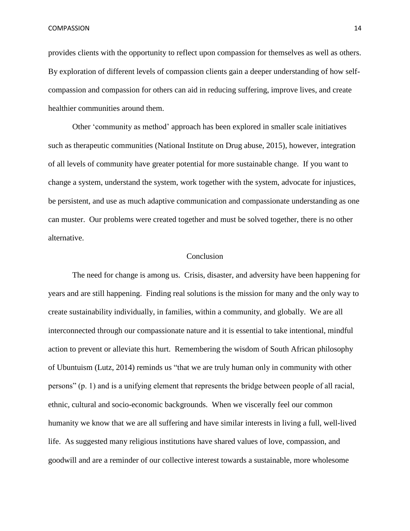provides clients with the opportunity to reflect upon compassion for themselves as well as others. By exploration of different levels of compassion clients gain a deeper understanding of how selfcompassion and compassion for others can aid in reducing suffering, improve lives, and create healthier communities around them.

Other 'community as method' approach has been explored in smaller scale initiatives such as therapeutic communities (National Institute on Drug abuse, 2015), however, integration of all levels of community have greater potential for more sustainable change. If you want to change a system, understand the system, work together with the system, advocate for injustices, be persistent, and use as much adaptive communication and compassionate understanding as one can muster. Our problems were created together and must be solved together, there is no other alternative.

#### Conclusion

The need for change is among us. Crisis, disaster, and adversity have been happening for years and are still happening. Finding real solutions is the mission for many and the only way to create sustainability individually, in families, within a community, and globally. We are all interconnected through our compassionate nature and it is essential to take intentional, mindful action to prevent or alleviate this hurt. Remembering the wisdom of South African philosophy of Ubuntuism (Lutz, 2014) reminds us "that we are truly human only in community with other persons" (p. 1) and is a unifying element that represents the bridge between people of all racial, ethnic, cultural and socio-economic backgrounds. When we viscerally feel our common humanity we know that we are all suffering and have similar interests in living a full, well-lived life. As suggested many religious institutions have shared values of love, compassion, and goodwill and are a reminder of our collective interest towards a sustainable, more wholesome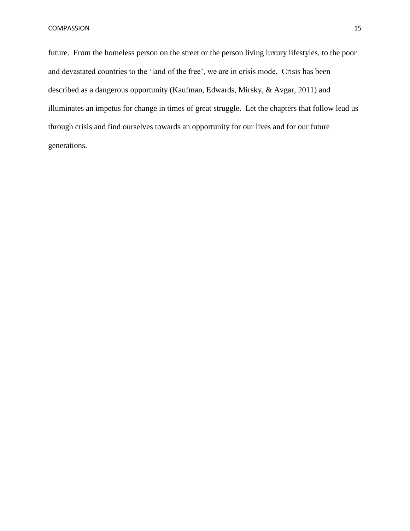future. From the homeless person on the street or the person living luxury lifestyles, to the poor and devastated countries to the 'land of the free', we are in crisis mode. Crisis has been described as a dangerous opportunity (Kaufman, Edwards, Mirsky, & Avgar, 2011) and illuminates an impetus for change in times of great struggle. Let the chapters that follow lead us through crisis and find ourselves towards an opportunity for our lives and for our future generations.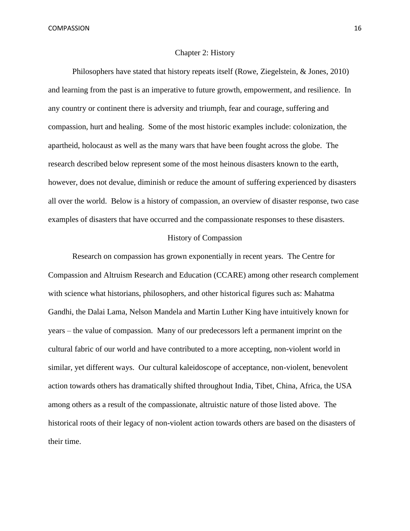#### Chapter 2: History

Philosophers have stated that history repeats itself (Rowe, Ziegelstein, & Jones, 2010) and learning from the past is an imperative to future growth, empowerment, and resilience. In any country or continent there is adversity and triumph, fear and courage, suffering and compassion, hurt and healing. Some of the most historic examples include: colonization, the apartheid, holocaust as well as the many wars that have been fought across the globe. The research described below represent some of the most heinous disasters known to the earth, however, does not devalue, diminish or reduce the amount of suffering experienced by disasters all over the world. Below is a history of compassion, an overview of disaster response, two case examples of disasters that have occurred and the compassionate responses to these disasters.

#### History of Compassion

Research on compassion has grown exponentially in recent years. The Centre for Compassion and Altruism Research and Education (CCARE) among other research complement with science what historians, philosophers, and other historical figures such as: Mahatma Gandhi, the Dalai Lama, Nelson Mandela and Martin Luther King have intuitively known for years – the value of compassion. Many of our predecessors left a permanent imprint on the cultural fabric of our world and have contributed to a more accepting, non-violent world in similar, yet different ways. Our cultural kaleidoscope of acceptance, non-violent, benevolent action towards others has dramatically shifted throughout India, Tibet, China, Africa, the USA among others as a result of the compassionate, altruistic nature of those listed above. The historical roots of their legacy of non-violent action towards others are based on the disasters of their time.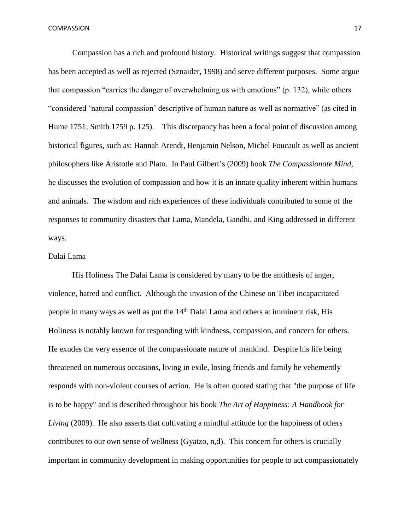Compassion has a rich and profound history. Historical writings suggest that compassion has been accepted as well as rejected (Sznaider, 1998) and serve different purposes. Some argue that compassion "carries the danger of overwhelming us with emotions" (p. 132), while others "considered 'natural compassion' descriptive of human nature as well as normative" (as cited in Hume 1751; Smith 1759 p. 125). This discrepancy has been a focal point of discussion among historical figures, such as: Hannah Arendt, Benjamin Nelson, Michel Foucault as well as ancient philosophers like Aristotle and Plato. In Paul Gilbert's (2009) book *The Compassionate Mind,* he discusses the evolution of compassion and how it is an innate quality inherent within humans and animals. The wisdom and rich experiences of these individuals contributed to some of the responses to community disasters that Lama, Mandela, Gandhi, and King addressed in different ways.

## Dalai Lama

His Holiness The Dalai Lama is considered by many to be the antithesis of anger, violence, hatred and conflict. Although the invasion of the Chinese on Tibet incapacitated people in many ways as well as put the  $14<sup>th</sup>$  Dalai Lama and others at imminent risk, His Holiness is notably known for responding with kindness, compassion, and concern for others. He exudes the very essence of the compassionate nature of mankind. Despite his life being threatened on numerous occasions, living in exile, losing friends and family he vehemently responds with non-violent courses of action. He is often quoted stating that "the purpose of life is to be happy" and is described throughout his book *The Art of Happiness: A Handbook for Living* (2009). He also asserts that cultivating a mindful attitude for the happiness of others contributes to our own sense of wellness (Gyatzo, n,d). This concern for others is crucially important in community development in making opportunities for people to act compassionately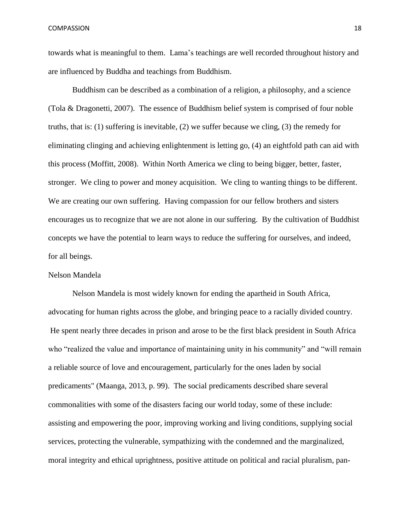towards what is meaningful to them. Lama's teachings are well recorded throughout history and are influenced by Buddha and teachings from Buddhism.

Buddhism can be described as a combination of a religion, a philosophy, and a science (Tola & Dragonetti, 2007). The essence of Buddhism belief system is comprised of four noble truths, that is: (1) suffering is inevitable, (2) we suffer because we cling, (3) the remedy for eliminating clinging and achieving enlightenment is letting go, (4) an eightfold path can aid with this process (Moffitt, 2008). Within North America we cling to being bigger, better, faster, stronger. We cling to power and money acquisition. We cling to wanting things to be different. We are creating our own suffering. Having compassion for our fellow brothers and sisters encourages us to recognize that we are not alone in our suffering. By the cultivation of Buddhist concepts we have the potential to learn ways to reduce the suffering for ourselves, and indeed, for all beings.

### Nelson Mandela

Nelson Mandela is most widely known for ending the apartheid in South Africa, advocating for human rights across the globe, and bringing peace to a racially divided country. He spent nearly three decades in prison and arose to be the first black president in South Africa who "realized the value and importance of maintaining unity in his community" and "will remain a reliable source of love and encouragement, particularly for the ones laden by social predicaments" (Maanga, 2013, p. 99). The social predicaments described share several commonalities with some of the disasters facing our world today, some of these include: assisting and empowering the poor, improving working and living conditions, supplying social services, protecting the vulnerable, sympathizing with the condemned and the marginalized, moral integrity and ethical uprightness, positive attitude on political and racial pluralism, pan-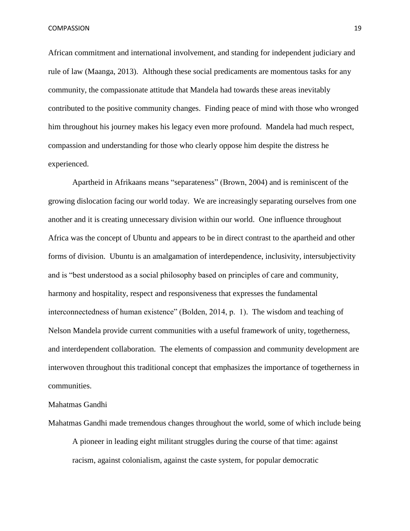African commitment and international involvement, and standing for independent judiciary and rule of law (Maanga, 2013). Although these social predicaments are momentous tasks for any community, the compassionate attitude that Mandela had towards these areas inevitably contributed to the positive community changes. Finding peace of mind with those who wronged him throughout his journey makes his legacy even more profound. Mandela had much respect, compassion and understanding for those who clearly oppose him despite the distress he experienced.

Apartheid in Afrikaans means "separateness" (Brown, 2004) and is reminiscent of the growing dislocation facing our world today. We are increasingly separating ourselves from one another and it is creating unnecessary division within our world. One influence throughout Africa was the concept of Ubuntu and appears to be in direct contrast to the apartheid and other forms of division. Ubuntu is an amalgamation of interdependence, inclusivity, intersubjectivity and is "best understood as a social philosophy based on principles of care and community, harmony and hospitality, respect and responsiveness that expresses the fundamental interconnectedness of human existence" (Bolden, 2014, p. 1). The wisdom and teaching of Nelson Mandela provide current communities with a useful framework of unity, togetherness, and interdependent collaboration. The elements of compassion and community development are interwoven throughout this traditional concept that emphasizes the importance of togetherness in communities.

## Mahatmas Gandhi

Mahatmas Gandhi made tremendous changes throughout the world, some of which include being A pioneer in leading eight militant struggles during the course of that time: against racism, against colonialism, against the caste system, for popular democratic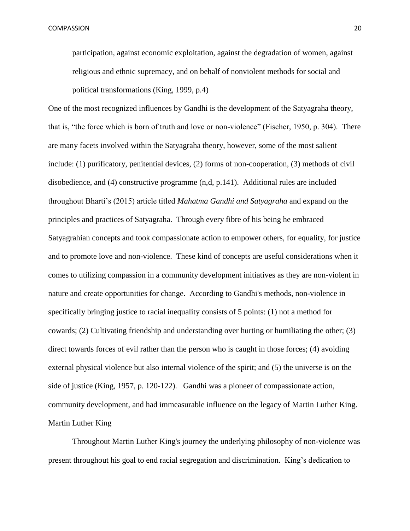participation, against economic exploitation, against the degradation of women, against religious and ethnic supremacy, and on behalf of nonviolent methods for social and political transformations (King, 1999, p.4)

One of the most recognized influences by Gandhi is the development of the Satyagraha theory, that is, "the force which is born of truth and love or non-violence" (Fischer, 1950, p. 304). There are many facets involved within the Satyagraha theory, however, some of the most salient include: (1) purificatory, penitential devices, (2) forms of non-cooperation, (3) methods of civil disobedience, and (4) constructive programme (n,d, p.141). Additional rules are included throughout Bharti's (2015) article titled *Mahatma Gandhi and Satyagraha* and expand on the principles and practices of Satyagraha. Through every fibre of his being he embraced Satyagrahian concepts and took compassionate action to empower others, for equality, for justice and to promote love and non-violence. These kind of concepts are useful considerations when it comes to utilizing compassion in a community development initiatives as they are non-violent in nature and create opportunities for change. According to Gandhi's methods, non-violence in specifically bringing justice to racial inequality consists of 5 points: (1) not a method for cowards; (2) Cultivating friendship and understanding over hurting or humiliating the other; (3) direct towards forces of evil rather than the person who is caught in those forces; (4) avoiding external physical violence but also internal violence of the spirit; and (5) the universe is on the side of justice (King, 1957, p. 120-122). Gandhi was a pioneer of compassionate action, community development, and had immeasurable influence on the legacy of Martin Luther King. Martin Luther King

Throughout Martin Luther King's journey the underlying philosophy of non-violence was present throughout his goal to end racial segregation and discrimination. King's dedication to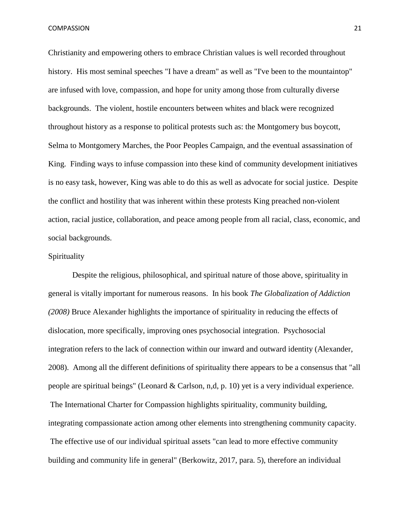Christianity and empowering others to embrace Christian values is well recorded throughout history. His most seminal speeches "I have a dream" as well as "I've been to the mountaintop" are infused with love, compassion, and hope for unity among those from culturally diverse backgrounds. The violent, hostile encounters between whites and black were recognized throughout history as a response to political protests such as: the Montgomery bus boycott, Selma to Montgomery Marches, the Poor Peoples Campaign, and the eventual assassination of King. Finding ways to infuse compassion into these kind of community development initiatives is no easy task, however, King was able to do this as well as advocate for social justice. Despite the conflict and hostility that was inherent within these protests King preached non-violent action, racial justice, collaboration, and peace among people from all racial, class, economic, and social backgrounds.

## Spirituality

Despite the religious, philosophical, and spiritual nature of those above, spirituality in general is vitally important for numerous reasons. In his book *The Globalization of Addiction (2008)* Bruce Alexander highlights the importance of spirituality in reducing the effects of dislocation, more specifically, improving ones psychosocial integration. Psychosocial integration refers to the lack of connection within our inward and outward identity (Alexander, 2008). Among all the different definitions of spirituality there appears to be a consensus that "all people are spiritual beings" (Leonard & Carlson, n,d, p. 10) yet is a very individual experience. The International Charter for Compassion highlights spirituality, community building, integrating compassionate action among other elements into strengthening community capacity. The effective use of our individual spiritual assets "can lead to more effective community building and community life in general" (Berkowitz, 2017, para. 5), therefore an individual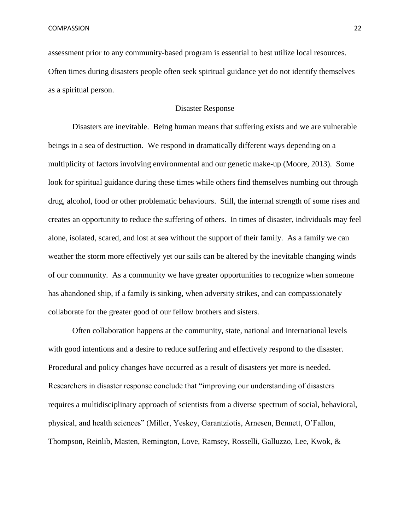assessment prior to any community-based program is essential to best utilize local resources. Often times during disasters people often seek spiritual guidance yet do not identify themselves as a spiritual person.

## Disaster Response

Disasters are inevitable. Being human means that suffering exists and we are vulnerable beings in a sea of destruction. We respond in dramatically different ways depending on a multiplicity of factors involving environmental and our genetic make-up (Moore, 2013). Some look for spiritual guidance during these times while others find themselves numbing out through drug, alcohol, food or other problematic behaviours. Still, the internal strength of some rises and creates an opportunity to reduce the suffering of others. In times of disaster, individuals may feel alone, isolated, scared, and lost at sea without the support of their family. As a family we can weather the storm more effectively yet our sails can be altered by the inevitable changing winds of our community. As a community we have greater opportunities to recognize when someone has abandoned ship, if a family is sinking, when adversity strikes, and can compassionately collaborate for the greater good of our fellow brothers and sisters.

Often collaboration happens at the community, state, national and international levels with good intentions and a desire to reduce suffering and effectively respond to the disaster. Procedural and policy changes have occurred as a result of disasters yet more is needed. Researchers in disaster response conclude that "improving our understanding of disasters requires a multidisciplinary approach of scientists from a diverse spectrum of social, behavioral, physical, and health sciences" (Miller, Yeskey, Garantziotis, Arnesen, Bennett, O'Fallon, Thompson, Reinlib, Masten, Remington, Love, Ramsey, Rosselli, Galluzzo, Lee, Kwok, &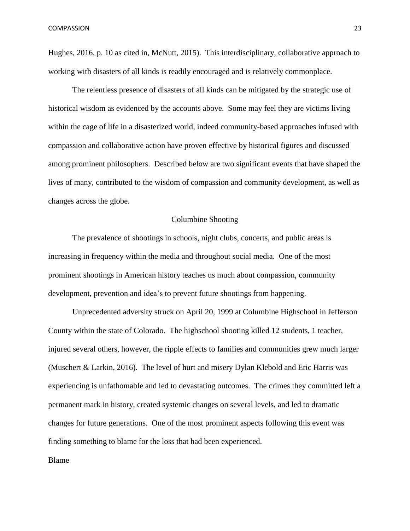Hughes, 2016, p. 10 as cited in, McNutt, 2015). This interdisciplinary, collaborative approach to working with disasters of all kinds is readily encouraged and is relatively commonplace.

The relentless presence of disasters of all kinds can be mitigated by the strategic use of historical wisdom as evidenced by the accounts above. Some may feel they are victims living within the cage of life in a disasterized world, indeed community-based approaches infused with compassion and collaborative action have proven effective by historical figures and discussed among prominent philosophers. Described below are two significant events that have shaped the lives of many, contributed to the wisdom of compassion and community development, as well as changes across the globe.

### Columbine Shooting

The prevalence of shootings in schools, night clubs, concerts, and public areas is increasing in frequency within the media and throughout social media. One of the most prominent shootings in American history teaches us much about compassion, community development, prevention and idea's to prevent future shootings from happening.

Unprecedented adversity struck on April 20, 1999 at Columbine Highschool in Jefferson County within the state of Colorado. The highschool shooting killed 12 students, 1 teacher, injured several others, however, the ripple effects to families and communities grew much larger (Muschert & Larkin, 2016). The level of hurt and misery Dylan Klebold and Eric Harris was experiencing is unfathomable and led to devastating outcomes. The crimes they committed left a permanent mark in history, created systemic changes on several levels, and led to dramatic changes for future generations. One of the most prominent aspects following this event was finding something to blame for the loss that had been experienced.

Blame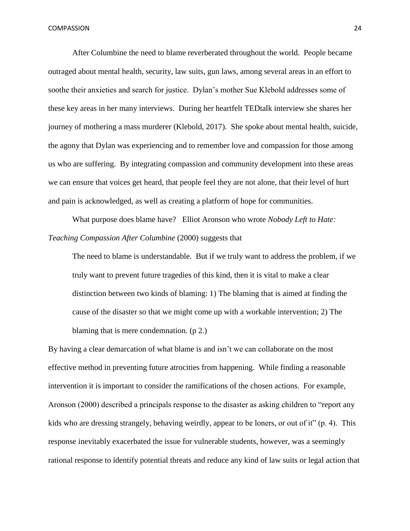After Columbine the need to blame reverberated throughout the world. People became outraged about mental health, security, law suits, gun laws, among several areas in an effort to soothe their anxieties and search for justice. Dylan's mother Sue Klebold addresses some of these key areas in her many interviews. During her heartfelt TEDtalk interview she shares her journey of mothering a mass murderer (Klebold, 2017). She spoke about mental health, suicide, the agony that Dylan was experiencing and to remember love and compassion for those among us who are suffering. By integrating compassion and community development into these areas we can ensure that voices get heard, that people feel they are not alone, that their level of hurt and pain is acknowledged, as well as creating a platform of hope for communities.

What purpose does blame have? Elliot Aronson who wrote *Nobody Left to Hate: Teaching Compassion After Columbine* (2000) suggests that

The need to blame is understandable. But if we truly want to address the problem, if we truly want to prevent future tragedies of this kind, then it is vital to make a clear distinction between two kinds of blaming: 1) The blaming that is aimed at finding the cause of the disaster so that we might come up with a workable intervention; 2) The blaming that is mere condemnation. (p 2.)

By having a clear demarcation of what blame is and isn't we can collaborate on the most effective method in preventing future atrocities from happening. While finding a reasonable intervention it is important to consider the ramifications of the chosen actions. For example, Aronson (2000) described a principals response to the disaster as asking children to "report any kids who are dressing strangely, behaving weirdly, appear to be loners, or out of it" (p. 4). This response inevitably exacerbated the issue for vulnerable students, however, was a seemingly rational response to identify potential threats and reduce any kind of law suits or legal action that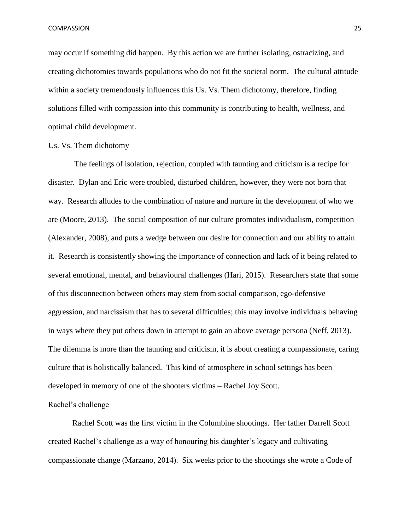may occur if something did happen. By this action we are further isolating, ostracizing, and creating dichotomies towards populations who do not fit the societal norm. The cultural attitude within a society tremendously influences this Us. Vs. Them dichotomy, therefore, finding solutions filled with compassion into this community is contributing to health, wellness, and optimal child development.

## Us. Vs. Them dichotomy

The feelings of isolation, rejection, coupled with taunting and criticism is a recipe for disaster. Dylan and Eric were troubled, disturbed children, however, they were not born that way. Research alludes to the combination of nature and nurture in the development of who we are (Moore, 2013). The social composition of our culture promotes individualism, competition (Alexander, 2008), and puts a wedge between our desire for connection and our ability to attain it. Research is consistently showing the importance of connection and lack of it being related to several emotional, mental, and behavioural challenges (Hari, 2015). Researchers state that some of this disconnection between others may stem from social comparison, ego-defensive aggression, and narcissism that has to several difficulties; this may involve individuals behaving in ways where they put others down in attempt to gain an above average persona (Neff, 2013). The dilemma is more than the taunting and criticism, it is about creating a compassionate, caring culture that is holistically balanced. This kind of atmosphere in school settings has been developed in memory of one of the shooters victims – Rachel Joy Scott.

Rachel's challenge

Rachel Scott was the first victim in the Columbine shootings. Her father Darrell Scott created Rachel's challenge as a way of honouring his daughter's legacy and cultivating compassionate change (Marzano, 2014). Six weeks prior to the shootings she wrote a Code of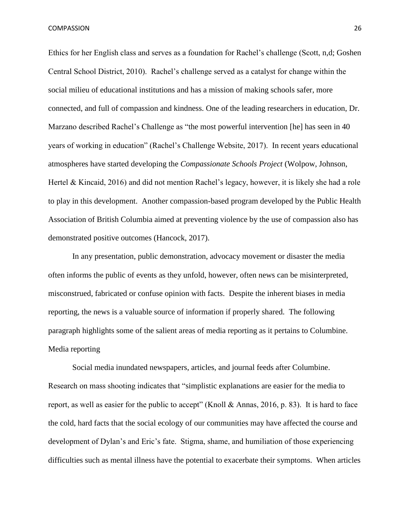Ethics for her English class and serves as a foundation for Rachel's challenge (Scott, n,d; Goshen Central School District, 2010). Rachel's challenge served as a catalyst for change within the social milieu of educational institutions and has a mission of making schools safer, more connected, and full of compassion and kindness. One of the leading researchers in education, Dr. Marzano described Rachel's Challenge as "the most powerful intervention [he] has seen in 40 years of working in education" (Rachel's Challenge Website, 2017). In recent years educational atmospheres have started developing the *Compassionate Schools Project* (Wolpow, Johnson, Hertel & Kincaid, 2016) and did not mention Rachel's legacy, however, it is likely she had a role to play in this development. Another compassion-based program developed by the Public Health Association of British Columbia aimed at preventing violence by the use of compassion also has demonstrated positive outcomes (Hancock, 2017).

In any presentation, public demonstration, advocacy movement or disaster the media often informs the public of events as they unfold, however, often news can be misinterpreted, misconstrued, fabricated or confuse opinion with facts. Despite the inherent biases in media reporting, the news is a valuable source of information if properly shared. The following paragraph highlights some of the salient areas of media reporting as it pertains to Columbine. Media reporting

Social media inundated newspapers, articles, and journal feeds after Columbine. Research on mass shooting indicates that "simplistic explanations are easier for the media to report, as well as easier for the public to accept" (Knoll & Annas, 2016, p. 83). It is hard to face the cold, hard facts that the social ecology of our communities may have affected the course and development of Dylan's and Eric's fate. Stigma, shame, and humiliation of those experiencing difficulties such as mental illness have the potential to exacerbate their symptoms. When articles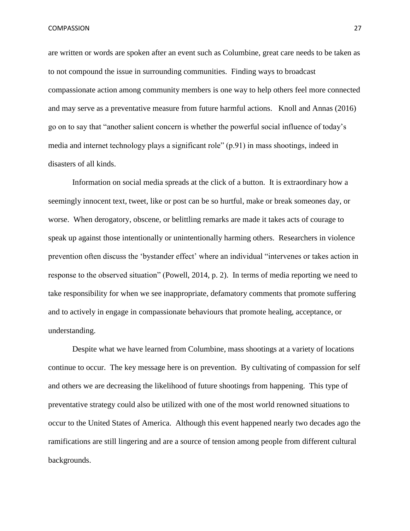are written or words are spoken after an event such as Columbine, great care needs to be taken as to not compound the issue in surrounding communities. Finding ways to broadcast compassionate action among community members is one way to help others feel more connected and may serve as a preventative measure from future harmful actions. Knoll and Annas (2016) go on to say that "another salient concern is whether the powerful social influence of today's media and internet technology plays a significant role" (p.91) in mass shootings, indeed in disasters of all kinds.

Information on social media spreads at the click of a button. It is extraordinary how a seemingly innocent text, tweet, like or post can be so hurtful, make or break someones day, or worse. When derogatory, obscene, or belittling remarks are made it takes acts of courage to speak up against those intentionally or unintentionally harming others. Researchers in violence prevention often discuss the 'bystander effect' where an individual "intervenes or takes action in response to the observed situation" (Powell, 2014, p. 2). In terms of media reporting we need to take responsibility for when we see inappropriate, defamatory comments that promote suffering and to actively in engage in compassionate behaviours that promote healing, acceptance, or understanding.

Despite what we have learned from Columbine, mass shootings at a variety of locations continue to occur. The key message here is on prevention. By cultivating of compassion for self and others we are decreasing the likelihood of future shootings from happening. This type of preventative strategy could also be utilized with one of the most world renowned situations to occur to the United States of America. Although this event happened nearly two decades ago the ramifications are still lingering and are a source of tension among people from different cultural backgrounds.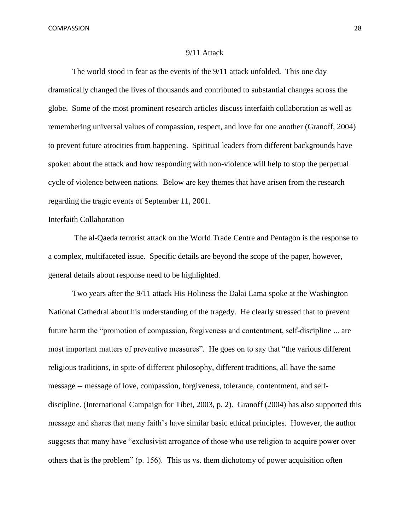#### 9/11 Attack

The world stood in fear as the events of the 9/11 attack unfolded. This one day dramatically changed the lives of thousands and contributed to substantial changes across the globe. Some of the most prominent research articles discuss interfaith collaboration as well as remembering universal values of compassion, respect, and love for one another (Granoff, 2004) to prevent future atrocities from happening. Spiritual leaders from different backgrounds have spoken about the attack and how responding with non-violence will help to stop the perpetual cycle of violence between nations. Below are key themes that have arisen from the research regarding the tragic events of September 11, 2001.

## Interfaith Collaboration

The al-Qaeda terrorist attack on the World Trade Centre and Pentagon is the response to a complex, multifaceted issue. Specific details are beyond the scope of the paper, however, general details about response need to be highlighted.

Two years after the 9/11 attack His Holiness the Dalai Lama spoke at the Washington National Cathedral about his understanding of the tragedy. He clearly stressed that to prevent future harm the "promotion of compassion, forgiveness and contentment, self-discipline ... are most important matters of preventive measures". He goes on to say that "the various different religious traditions, in spite of different philosophy, different traditions, all have the same message -- message of love, compassion, forgiveness, tolerance, contentment, and selfdiscipline. (International Campaign for Tibet, 2003, p. 2). Granoff (2004) has also supported this message and shares that many faith's have similar basic ethical principles. However, the author suggests that many have "exclusivist arrogance of those who use religion to acquire power over others that is the problem" (p. 156). This us vs. them dichotomy of power acquisition often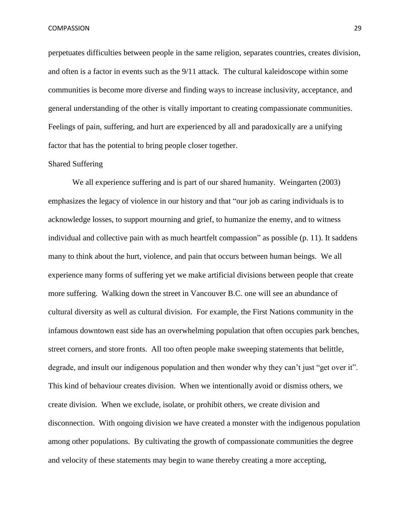perpetuates difficulties between people in the same religion, separates countries, creates division, and often is a factor in events such as the 9/11 attack. The cultural kaleidoscope within some communities is become more diverse and finding ways to increase inclusivity, acceptance, and general understanding of the other is vitally important to creating compassionate communities. Feelings of pain, suffering, and hurt are experienced by all and paradoxically are a unifying factor that has the potential to bring people closer together.

#### Shared Suffering

We all experience suffering and is part of our shared humanity. Weingarten (2003) emphasizes the legacy of violence in our history and that "our job as caring individuals is to acknowledge losses, to support mourning and grief, to humanize the enemy, and to witness individual and collective pain with as much heartfelt compassion" as possible (p. 11). It saddens many to think about the hurt, violence, and pain that occurs between human beings. We all experience many forms of suffering yet we make artificial divisions between people that create more suffering. Walking down the street in Vancouver B.C. one will see an abundance of cultural diversity as well as cultural division. For example, the First Nations community in the infamous downtown east side has an overwhelming population that often occupies park benches, street corners, and store fronts. All too often people make sweeping statements that belittle, degrade, and insult our indigenous population and then wonder why they can't just "get over it". This kind of behaviour creates division. When we intentionally avoid or dismiss others, we create division. When we exclude, isolate, or prohibit others, we create division and disconnection. With ongoing division we have created a monster with the indigenous population among other populations. By cultivating the growth of compassionate communities the degree and velocity of these statements may begin to wane thereby creating a more accepting,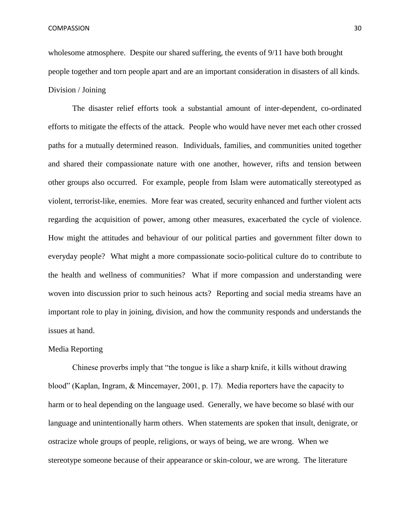wholesome atmosphere. Despite our shared suffering, the events of  $9/11$  have both brought people together and torn people apart and are an important consideration in disasters of all kinds. Division / Joining

The disaster relief efforts took a substantial amount of inter-dependent, co-ordinated efforts to mitigate the effects of the attack. People who would have never met each other crossed paths for a mutually determined reason. Individuals, families, and communities united together and shared their compassionate nature with one another, however, rifts and tension between other groups also occurred. For example, people from Islam were automatically stereotyped as violent, terrorist-like, enemies. More fear was created, security enhanced and further violent acts regarding the acquisition of power, among other measures, exacerbated the cycle of violence. How might the attitudes and behaviour of our political parties and government filter down to everyday people? What might a more compassionate socio-political culture do to contribute to the health and wellness of communities? What if more compassion and understanding were woven into discussion prior to such heinous acts? Reporting and social media streams have an important role to play in joining, division, and how the community responds and understands the issues at hand.

#### Media Reporting

Chinese proverbs imply that "the tongue is like a sharp knife, it kills without drawing blood" (Kaplan, Ingram, & Mincemayer, 2001, p. 17). Media reporters have the capacity to harm or to heal depending on the language used. Generally, we have become so blasé with our language and unintentionally harm others. When statements are spoken that insult, denigrate, or ostracize whole groups of people, religions, or ways of being, we are wrong. When we stereotype someone because of their appearance or skin-colour, we are wrong. The literature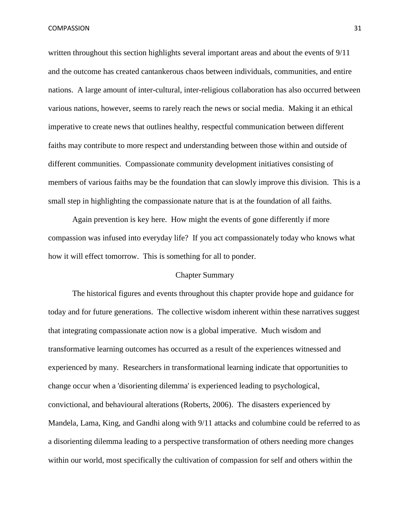written throughout this section highlights several important areas and about the events of 9/11 and the outcome has created cantankerous chaos between individuals, communities, and entire nations. A large amount of inter-cultural, inter-religious collaboration has also occurred between various nations, however, seems to rarely reach the news or social media. Making it an ethical imperative to create news that outlines healthy, respectful communication between different faiths may contribute to more respect and understanding between those within and outside of different communities. Compassionate community development initiatives consisting of members of various faiths may be the foundation that can slowly improve this division. This is a small step in highlighting the compassionate nature that is at the foundation of all faiths.

Again prevention is key here. How might the events of gone differently if more compassion was infused into everyday life? If you act compassionately today who knows what how it will effect tomorrow. This is something for all to ponder.

### Chapter Summary

The historical figures and events throughout this chapter provide hope and guidance for today and for future generations. The collective wisdom inherent within these narratives suggest that integrating compassionate action now is a global imperative. Much wisdom and transformative learning outcomes has occurred as a result of the experiences witnessed and experienced by many. Researchers in transformational learning indicate that opportunities to change occur when a 'disorienting dilemma' is experienced leading to psychological, convictional, and behavioural alterations (Roberts, 2006). The disasters experienced by Mandela, Lama, King, and Gandhi along with 9/11 attacks and columbine could be referred to as a disorienting dilemma leading to a perspective transformation of others needing more changes within our world, most specifically the cultivation of compassion for self and others within the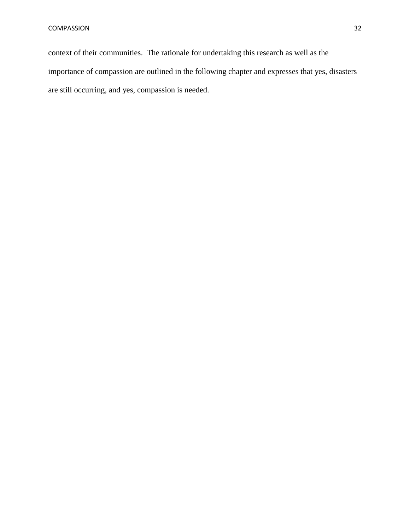context of their communities. The rationale for undertaking this research as well as the importance of compassion are outlined in the following chapter and expresses that yes, disasters are still occurring, and yes, compassion is needed.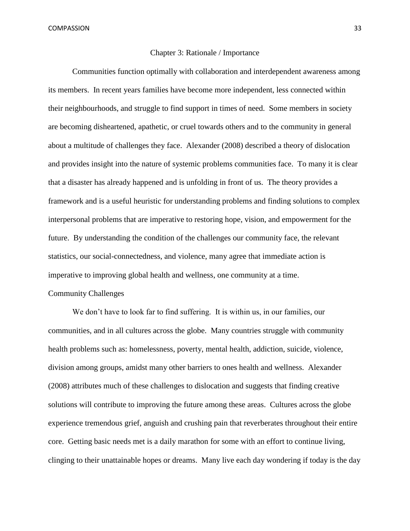#### Chapter 3: Rationale / Importance

Communities function optimally with collaboration and interdependent awareness among its members. In recent years families have become more independent, less connected within their neighbourhoods, and struggle to find support in times of need. Some members in society are becoming disheartened, apathetic, or cruel towards others and to the community in general about a multitude of challenges they face. Alexander (2008) described a theory of dislocation and provides insight into the nature of systemic problems communities face. To many it is clear that a disaster has already happened and is unfolding in front of us. The theory provides a framework and is a useful heuristic for understanding problems and finding solutions to complex interpersonal problems that are imperative to restoring hope, vision, and empowerment for the future. By understanding the condition of the challenges our community face, the relevant statistics, our social-connectedness, and violence, many agree that immediate action is imperative to improving global health and wellness, one community at a time. Community Challenges

We don't have to look far to find suffering. It is within us, in our families, our communities, and in all cultures across the globe. Many countries struggle with community health problems such as: homelessness, poverty, mental health, addiction, suicide, violence, division among groups, amidst many other barriers to ones health and wellness. Alexander (2008) attributes much of these challenges to dislocation and suggests that finding creative solutions will contribute to improving the future among these areas. Cultures across the globe experience tremendous grief, anguish and crushing pain that reverberates throughout their entire core. Getting basic needs met is a daily marathon for some with an effort to continue living, clinging to their unattainable hopes or dreams. Many live each day wondering if today is the day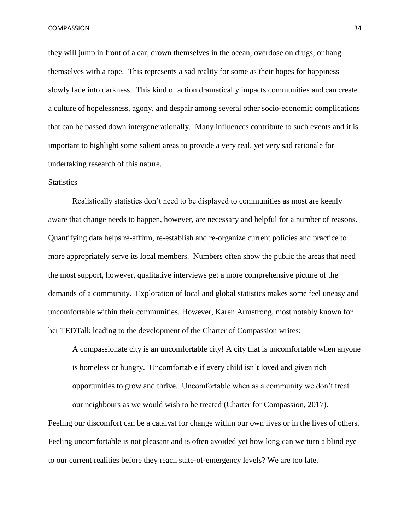they will jump in front of a car, drown themselves in the ocean, overdose on drugs, or hang themselves with a rope. This represents a sad reality for some as their hopes for happiness slowly fade into darkness. This kind of action dramatically impacts communities and can create a culture of hopelessness, agony, and despair among several other socio-economic complications that can be passed down intergenerationally. Many influences contribute to such events and it is important to highlight some salient areas to provide a very real, yet very sad rationale for undertaking research of this nature.

### **Statistics**

Realistically statistics don't need to be displayed to communities as most are keenly aware that change needs to happen, however, are necessary and helpful for a number of reasons. Quantifying data helps re-affirm, re-establish and re-organize current policies and practice to more appropriately serve its local members. Numbers often show the public the areas that need the most support, however, qualitative interviews get a more comprehensive picture of the demands of a community. Exploration of local and global statistics makes some feel uneasy and uncomfortable within their communities. However, Karen Armstrong, most notably known for her TEDTalk leading to the development of the Charter of Compassion writes:

A compassionate city is an uncomfortable city! A city that is uncomfortable when anyone is homeless or hungry. Uncomfortable if every child isn't loved and given rich opportunities to grow and thrive. Uncomfortable when as a community we don't treat our neighbours as we would wish to be treated (Charter for Compassion, 2017).

Feeling our discomfort can be a catalyst for change within our own lives or in the lives of others. Feeling uncomfortable is not pleasant and is often avoided yet how long can we turn a blind eye to our current realities before they reach state-of-emergency levels? We are too late.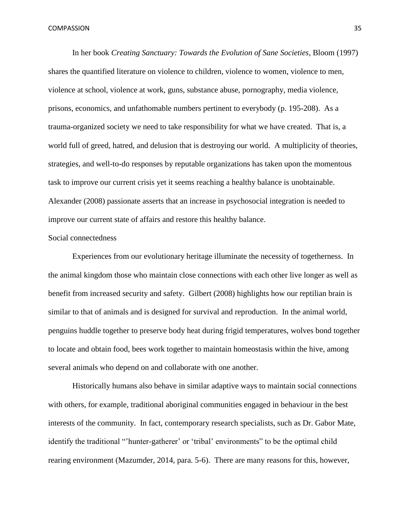In her book *Creating Sanctuary: Towards the Evolution of Sane Societies*, Bloom (1997) shares the quantified literature on violence to children, violence to women, violence to men, violence at school, violence at work, guns, substance abuse, pornography, media violence, prisons, economics, and unfathomable numbers pertinent to everybody (p. 195-208). As a trauma-organized society we need to take responsibility for what we have created. That is, a world full of greed, hatred, and delusion that is destroying our world. A multiplicity of theories, strategies, and well-to-do responses by reputable organizations has taken upon the momentous task to improve our current crisis yet it seems reaching a healthy balance is unobtainable. Alexander (2008) passionate asserts that an increase in psychosocial integration is needed to improve our current state of affairs and restore this healthy balance.

#### Social connectedness

Experiences from our evolutionary heritage illuminate the necessity of togetherness. In the animal kingdom those who maintain close connections with each other live longer as well as benefit from increased security and safety. Gilbert (2008) highlights how our reptilian brain is similar to that of animals and is designed for survival and reproduction. In the animal world, penguins huddle together to preserve body heat during frigid temperatures, wolves bond together to locate and obtain food, bees work together to maintain homeostasis within the hive, among several animals who depend on and collaborate with one another.

Historically humans also behave in similar adaptive ways to maintain social connections with others, for example, traditional aboriginal communities engaged in behaviour in the best interests of the community. In fact, contemporary research specialists, such as Dr. Gabor Mate, identify the traditional "'hunter-gatherer' or 'tribal' environments" to be the optimal child rearing environment (Mazumder, 2014, para. 5-6). There are many reasons for this, however,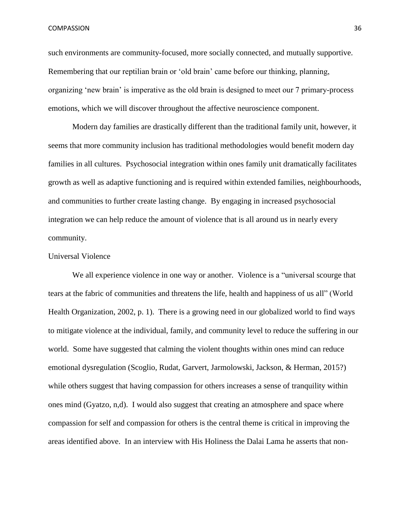such environments are community-focused, more socially connected, and mutually supportive. Remembering that our reptilian brain or 'old brain' came before our thinking, planning, organizing 'new brain' is imperative as the old brain is designed to meet our 7 primary-process emotions, which we will discover throughout the affective neuroscience component.

Modern day families are drastically different than the traditional family unit, however, it seems that more community inclusion has traditional methodologies would benefit modern day families in all cultures. Psychosocial integration within ones family unit dramatically facilitates growth as well as adaptive functioning and is required within extended families, neighbourhoods, and communities to further create lasting change. By engaging in increased psychosocial integration we can help reduce the amount of violence that is all around us in nearly every community.

### Universal Violence

We all experience violence in one way or another. Violence is a "universal scourge that tears at the fabric of communities and threatens the life, health and happiness of us all" (World Health Organization, 2002, p. 1). There is a growing need in our globalized world to find ways to mitigate violence at the individual, family, and community level to reduce the suffering in our world. Some have suggested that calming the violent thoughts within ones mind can reduce emotional dysregulation (Scoglio, Rudat, Garvert, Jarmolowski, Jackson, & Herman, 2015?) while others suggest that having compassion for others increases a sense of tranquility within ones mind (Gyatzo, n,d). I would also suggest that creating an atmosphere and space where compassion for self and compassion for others is the central theme is critical in improving the areas identified above. In an interview with His Holiness the Dalai Lama he asserts that non-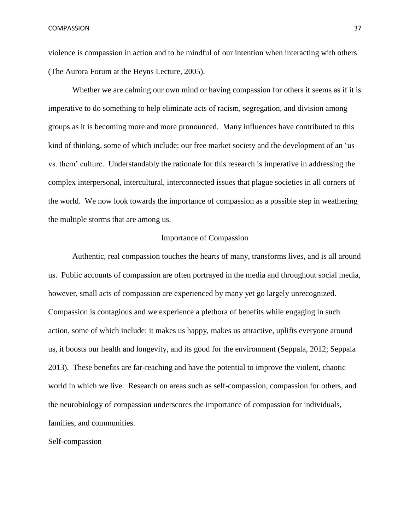violence is compassion in action and to be mindful of our intention when interacting with others (The Aurora Forum at the Heyns Lecture, 2005).

Whether we are calming our own mind or having compassion for others it seems as if it is imperative to do something to help eliminate acts of racism, segregation, and division among groups as it is becoming more and more pronounced. Many influences have contributed to this kind of thinking, some of which include: our free market society and the development of an 'us vs. them' culture. Understandably the rationale for this research is imperative in addressing the complex interpersonal, intercultural, interconnected issues that plague societies in all corners of the world. We now look towards the importance of compassion as a possible step in weathering the multiple storms that are among us.

### Importance of Compassion

Authentic, real compassion touches the hearts of many, transforms lives, and is all around us. Public accounts of compassion are often portrayed in the media and throughout social media, however, small acts of compassion are experienced by many yet go largely unrecognized. Compassion is contagious and we experience a plethora of benefits while engaging in such action, some of which include: it makes us happy, makes us attractive, uplifts everyone around us, it boosts our health and longevity, and its good for the environment (Seppala, 2012; Seppala 2013). These benefits are far-reaching and have the potential to improve the violent, chaotic world in which we live. Research on areas such as self-compassion, compassion for others, and the neurobiology of compassion underscores the importance of compassion for individuals, families, and communities.

Self-compassion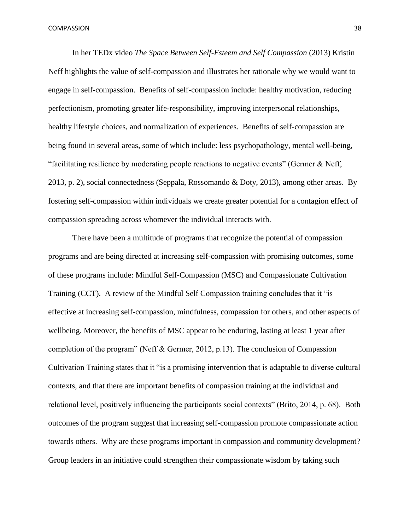In her TEDx video *The Space Between Self-Esteem and Self Compassion* (2013) Kristin Neff highlights the value of self-compassion and illustrates her rationale why we would want to engage in self-compassion. Benefits of self-compassion include: healthy motivation, reducing perfectionism, promoting greater life-responsibility, improving interpersonal relationships, healthy lifestyle choices, and normalization of experiences. Benefits of self-compassion are being found in several areas, some of which include: less psychopathology, mental well-being, "facilitating resilience by moderating people reactions to negative events" (Germer & Neff, 2013, p. 2), social connectedness (Seppala, Rossomando & Doty, 2013), among other areas. By fostering self-compassion within individuals we create greater potential for a contagion effect of compassion spreading across whomever the individual interacts with.

There have been a multitude of programs that recognize the potential of compassion programs and are being directed at increasing self-compassion with promising outcomes, some of these programs include: Mindful Self-Compassion (MSC) and Compassionate Cultivation Training (CCT). A review of the Mindful Self Compassion training concludes that it "is effective at increasing self-compassion, mindfulness, compassion for others, and other aspects of wellbeing. Moreover, the benefits of MSC appear to be enduring, lasting at least 1 year after completion of the program" (Neff & Germer, 2012, p.13). The conclusion of Compassion Cultivation Training states that it "is a promising intervention that is adaptable to diverse cultural contexts, and that there are important benefits of compassion training at the individual and relational level, positively influencing the participants social contexts" (Brito, 2014, p. 68). Both outcomes of the program suggest that increasing self-compassion promote compassionate action towards others. Why are these programs important in compassion and community development? Group leaders in an initiative could strengthen their compassionate wisdom by taking such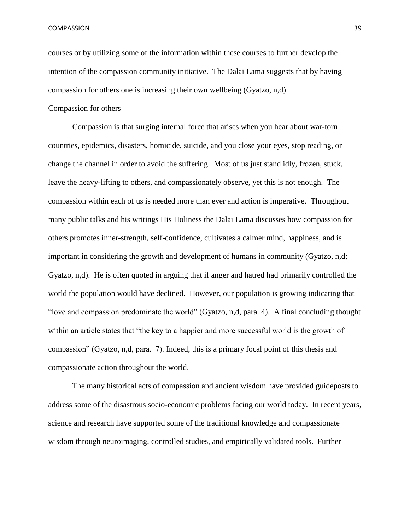courses or by utilizing some of the information within these courses to further develop the intention of the compassion community initiative. The Dalai Lama suggests that by having compassion for others one is increasing their own wellbeing (Gyatzo, n,d)

# Compassion for others

Compassion is that surging internal force that arises when you hear about war-torn countries, epidemics, disasters, homicide, suicide, and you close your eyes, stop reading, or change the channel in order to avoid the suffering. Most of us just stand idly, frozen, stuck, leave the heavy-lifting to others, and compassionately observe, yet this is not enough. The compassion within each of us is needed more than ever and action is imperative. Throughout many public talks and his writings His Holiness the Dalai Lama discusses how compassion for others promotes inner-strength, self-confidence, cultivates a calmer mind, happiness, and is important in considering the growth and development of humans in community (Gyatzo, n,d; Gyatzo, n,d). He is often quoted in arguing that if anger and hatred had primarily controlled the world the population would have declined. However, our population is growing indicating that "love and compassion predominate the world" (Gyatzo, n,d, para. 4). A final concluding thought within an article states that "the key to a happier and more successful world is the growth of compassion" (Gyatzo, n,d, para. 7). Indeed, this is a primary focal point of this thesis and compassionate action throughout the world.

The many historical acts of compassion and ancient wisdom have provided guideposts to address some of the disastrous socio-economic problems facing our world today. In recent years, science and research have supported some of the traditional knowledge and compassionate wisdom through neuroimaging, controlled studies, and empirically validated tools. Further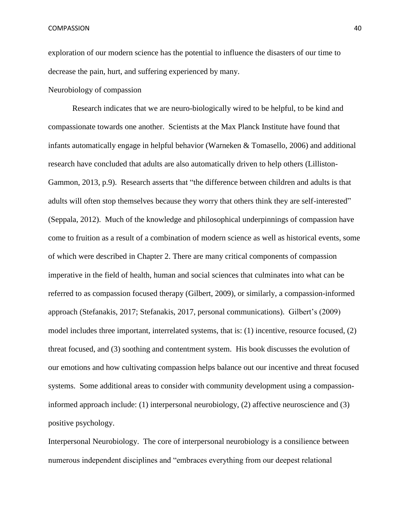exploration of our modern science has the potential to influence the disasters of our time to decrease the pain, hurt, and suffering experienced by many.

# Neurobiology of compassion

Research indicates that we are neuro-biologically wired to be helpful, to be kind and compassionate towards one another. Scientists at the Max Planck Institute have found that infants automatically engage in helpful behavior (Warneken & Tomasello, 2006) and additional research have concluded that adults are also automatically driven to help others (Lilliston-Gammon, 2013, p.9). Research asserts that "the difference between children and adults is that adults will often stop themselves because they worry that others think they are self-interested" (Seppala, 2012). Much of the knowledge and philosophical underpinnings of compassion have come to fruition as a result of a combination of modern science as well as historical events, some of which were described in Chapter 2. There are many critical components of compassion imperative in the field of health, human and social sciences that culminates into what can be referred to as compassion focused therapy (Gilbert, 2009), or similarly, a compassion-informed approach (Stefanakis, 2017; Stefanakis, 2017, personal communications). Gilbert's (2009) model includes three important, interrelated systems, that is: (1) incentive, resource focused, (2) threat focused, and (3) soothing and contentment system. His book discusses the evolution of our emotions and how cultivating compassion helps balance out our incentive and threat focused systems. Some additional areas to consider with community development using a compassioninformed approach include: (1) interpersonal neurobiology, (2) affective neuroscience and (3) positive psychology.

Interpersonal Neurobiology. The core of interpersonal neurobiology is a consilience between numerous independent disciplines and "embraces everything from our deepest relational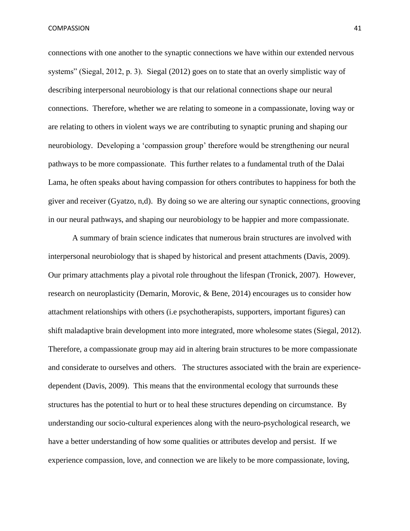connections with one another to the synaptic connections we have within our extended nervous systems" (Siegal, 2012, p. 3). Siegal (2012) goes on to state that an overly simplistic way of describing interpersonal neurobiology is that our relational connections shape our neural connections. Therefore, whether we are relating to someone in a compassionate, loving way or are relating to others in violent ways we are contributing to synaptic pruning and shaping our neurobiology. Developing a 'compassion group' therefore would be strengthening our neural pathways to be more compassionate. This further relates to a fundamental truth of the Dalai Lama, he often speaks about having compassion for others contributes to happiness for both the giver and receiver (Gyatzo, n,d). By doing so we are altering our synaptic connections, grooving in our neural pathways, and shaping our neurobiology to be happier and more compassionate.

A summary of brain science indicates that numerous brain structures are involved with interpersonal neurobiology that is shaped by historical and present attachments (Davis, 2009). Our primary attachments play a pivotal role throughout the lifespan (Tronick, 2007). However, research on neuroplasticity (Demarin, Morovic, & Bene, 2014) encourages us to consider how attachment relationships with others (i.e psychotherapists, supporters, important figures) can shift maladaptive brain development into more integrated, more wholesome states (Siegal, 2012). Therefore, a compassionate group may aid in altering brain structures to be more compassionate and considerate to ourselves and others. The structures associated with the brain are experiencedependent (Davis, 2009). This means that the environmental ecology that surrounds these structures has the potential to hurt or to heal these structures depending on circumstance. By understanding our socio-cultural experiences along with the neuro-psychological research, we have a better understanding of how some qualities or attributes develop and persist. If we experience compassion, love, and connection we are likely to be more compassionate, loving,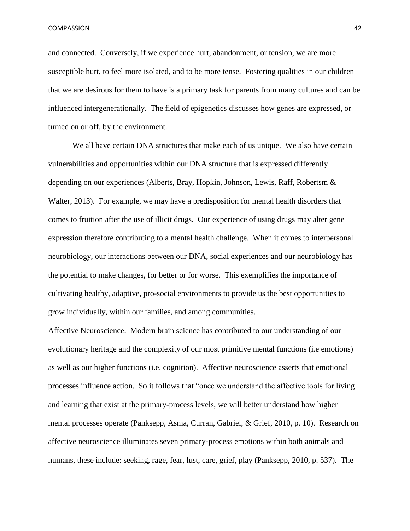and connected. Conversely, if we experience hurt, abandonment, or tension, we are more susceptible hurt, to feel more isolated, and to be more tense. Fostering qualities in our children that we are desirous for them to have is a primary task for parents from many cultures and can be influenced intergenerationally. The field of epigenetics discusses how genes are expressed, or turned on or off, by the environment.

We all have certain DNA structures that make each of us unique. We also have certain vulnerabilities and opportunities within our DNA structure that is expressed differently depending on our experiences (Alberts, Bray, Hopkin, Johnson, Lewis, Raff, Robertsm & Walter, 2013). For example, we may have a predisposition for mental health disorders that comes to fruition after the use of illicit drugs. Our experience of using drugs may alter gene expression therefore contributing to a mental health challenge. When it comes to interpersonal neurobiology, our interactions between our DNA, social experiences and our neurobiology has the potential to make changes, for better or for worse. This exemplifies the importance of cultivating healthy, adaptive, pro-social environments to provide us the best opportunities to grow individually, within our families, and among communities.

Affective Neuroscience. Modern brain science has contributed to our understanding of our evolutionary heritage and the complexity of our most primitive mental functions (i.e emotions) as well as our higher functions (i.e. cognition). Affective neuroscience asserts that emotional processes influence action. So it follows that "once we understand the affective tools for living and learning that exist at the primary-process levels, we will better understand how higher mental processes operate (Panksepp, Asma, Curran, Gabriel, & Grief, 2010, p. 10). Research on affective neuroscience illuminates seven primary-process emotions within both animals and humans, these include: seeking, rage, fear, lust, care, grief, play (Panksepp, 2010, p. 537). The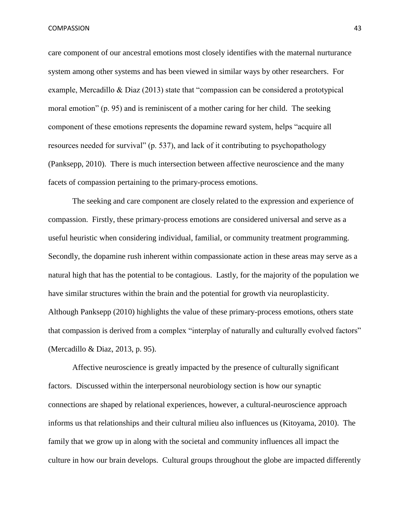care component of our ancestral emotions most closely identifies with the maternal nurturance system among other systems and has been viewed in similar ways by other researchers. For example, Mercadillo & Diaz (2013) state that "compassion can be considered a prototypical moral emotion" (p. 95) and is reminiscent of a mother caring for her child. The seeking component of these emotions represents the dopamine reward system, helps "acquire all resources needed for survival" (p. 537), and lack of it contributing to psychopathology (Panksepp, 2010). There is much intersection between affective neuroscience and the many facets of compassion pertaining to the primary-process emotions.

The seeking and care component are closely related to the expression and experience of compassion. Firstly, these primary-process emotions are considered universal and serve as a useful heuristic when considering individual, familial, or community treatment programming. Secondly, the dopamine rush inherent within compassionate action in these areas may serve as a natural high that has the potential to be contagious. Lastly, for the majority of the population we have similar structures within the brain and the potential for growth via neuroplasticity. Although Panksepp (2010) highlights the value of these primary-process emotions, others state that compassion is derived from a complex "interplay of naturally and culturally evolved factors" (Mercadillo & Diaz, 2013, p. 95).

Affective neuroscience is greatly impacted by the presence of culturally significant factors. Discussed within the interpersonal neurobiology section is how our synaptic connections are shaped by relational experiences, however, a cultural-neuroscience approach informs us that relationships and their cultural milieu also influences us (Kitoyama, 2010). The family that we grow up in along with the societal and community influences all impact the culture in how our brain develops. Cultural groups throughout the globe are impacted differently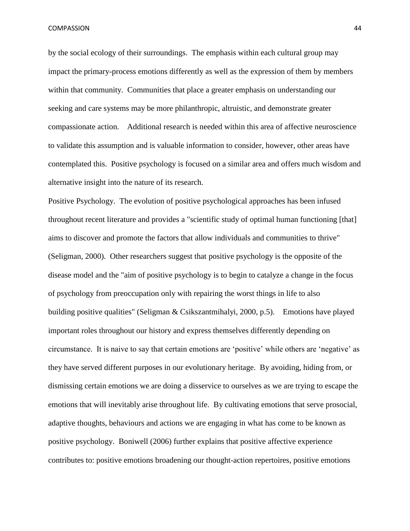by the social ecology of their surroundings. The emphasis within each cultural group may impact the primary-process emotions differently as well as the expression of them by members within that community. Communities that place a greater emphasis on understanding our seeking and care systems may be more philanthropic, altruistic, and demonstrate greater compassionate action. Additional research is needed within this area of affective neuroscience to validate this assumption and is valuable information to consider, however, other areas have contemplated this. Positive psychology is focused on a similar area and offers much wisdom and alternative insight into the nature of its research.

Positive Psychology. The evolution of positive psychological approaches has been infused throughout recent literature and provides a "scientific study of optimal human functioning [that] aims to discover and promote the factors that allow individuals and communities to thrive" (Seligman, 2000). Other researchers suggest that positive psychology is the opposite of the disease model and the "aim of positive psychology is to begin to catalyze a change in the focus of psychology from preoccupation only with repairing the worst things in life to also building positive qualities" (Seligman & Csikszantmihalyi, 2000, p.5). Emotions have played important roles throughout our history and express themselves differently depending on circumstance. It is naive to say that certain emotions are 'positive' while others are 'negative' as they have served different purposes in our evolutionary heritage. By avoiding, hiding from, or dismissing certain emotions we are doing a disservice to ourselves as we are trying to escape the emotions that will inevitably arise throughout life. By cultivating emotions that serve prosocial, adaptive thoughts, behaviours and actions we are engaging in what has come to be known as positive psychology. Boniwell (2006) further explains that positive affective experience contributes to: positive emotions broadening our thought-action repertoires, positive emotions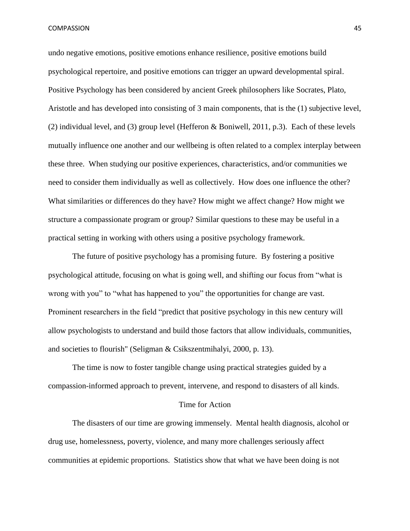undo negative emotions, positive emotions enhance resilience, positive emotions build psychological repertoire, and positive emotions can trigger an upward developmental spiral. Positive Psychology has been considered by ancient Greek philosophers like Socrates, Plato, Aristotle and has developed into consisting of 3 main components, that is the (1) subjective level, (2) individual level, and (3) group level (Hefferon & Boniwell, 2011, p.3). Each of these levels mutually influence one another and our wellbeing is often related to a complex interplay between these three. When studying our positive experiences, characteristics, and/or communities we need to consider them individually as well as collectively. How does one influence the other? What similarities or differences do they have? How might we affect change? How might we structure a compassionate program or group? Similar questions to these may be useful in a practical setting in working with others using a positive psychology framework.

The future of positive psychology has a promising future. By fostering a positive psychological attitude, focusing on what is going well, and shifting our focus from "what is wrong with you" to "what has happened to you" the opportunities for change are vast. Prominent researchers in the field "predict that positive psychology in this new century will allow psychologists to understand and build those factors that allow individuals, communities, and societies to flourish" (Seligman & Csikszentmihalyi, 2000, p. 13).

The time is now to foster tangible change using practical strategies guided by a compassion-informed approach to prevent, intervene, and respond to disasters of all kinds.

### Time for Action

The disasters of our time are growing immensely. Mental health diagnosis, alcohol or drug use, homelessness, poverty, violence, and many more challenges seriously affect communities at epidemic proportions. Statistics show that what we have been doing is not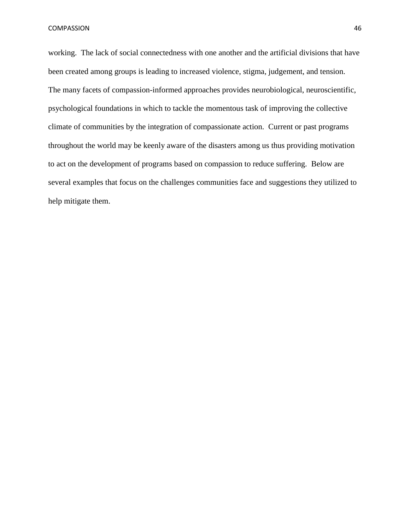working. The lack of social connectedness with one another and the artificial divisions that have been created among groups is leading to increased violence, stigma, judgement, and tension. The many facets of compassion-informed approaches provides neurobiological, neuroscientific, psychological foundations in which to tackle the momentous task of improving the collective climate of communities by the integration of compassionate action. Current or past programs throughout the world may be keenly aware of the disasters among us thus providing motivation to act on the development of programs based on compassion to reduce suffering. Below are several examples that focus on the challenges communities face and suggestions they utilized to help mitigate them.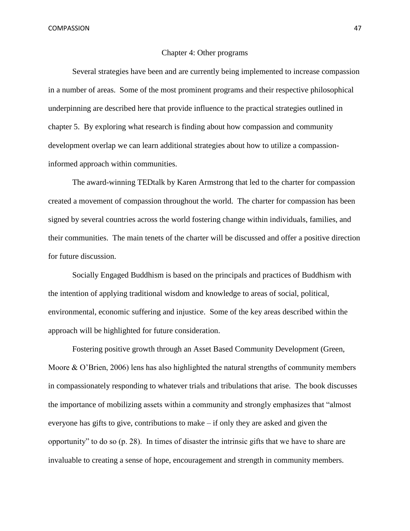#### Chapter 4: Other programs

Several strategies have been and are currently being implemented to increase compassion in a number of areas. Some of the most prominent programs and their respective philosophical underpinning are described here that provide influence to the practical strategies outlined in chapter 5. By exploring what research is finding about how compassion and community development overlap we can learn additional strategies about how to utilize a compassioninformed approach within communities.

The award-winning TEDtalk by Karen Armstrong that led to the charter for compassion created a movement of compassion throughout the world. The charter for compassion has been signed by several countries across the world fostering change within individuals, families, and their communities. The main tenets of the charter will be discussed and offer a positive direction for future discussion.

Socially Engaged Buddhism is based on the principals and practices of Buddhism with the intention of applying traditional wisdom and knowledge to areas of social, political, environmental, economic suffering and injustice. Some of the key areas described within the approach will be highlighted for future consideration.

Fostering positive growth through an Asset Based Community Development (Green, Moore & O'Brien, 2006) lens has also highlighted the natural strengths of community members in compassionately responding to whatever trials and tribulations that arise. The book discusses the importance of mobilizing assets within a community and strongly emphasizes that "almost everyone has gifts to give, contributions to make – if only they are asked and given the opportunity" to do so (p. 28). In times of disaster the intrinsic gifts that we have to share are invaluable to creating a sense of hope, encouragement and strength in community members.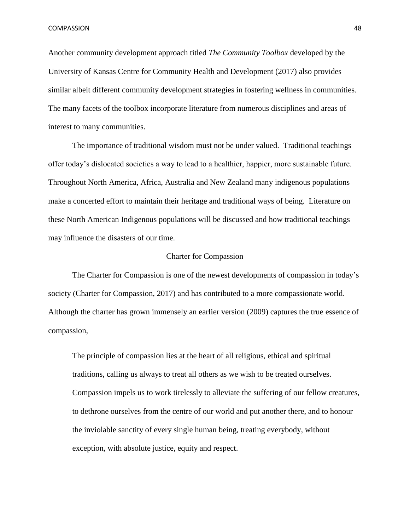Another community development approach titled *The Community Toolbox* developed by the University of Kansas Centre for Community Health and Development (2017) also provides similar albeit different community development strategies in fostering wellness in communities. The many facets of the toolbox incorporate literature from numerous disciplines and areas of interest to many communities.

The importance of traditional wisdom must not be under valued. Traditional teachings offer today's dislocated societies a way to lead to a healthier, happier, more sustainable future. Throughout North America, Africa, Australia and New Zealand many indigenous populations make a concerted effort to maintain their heritage and traditional ways of being. Literature on these North American Indigenous populations will be discussed and how traditional teachings may influence the disasters of our time.

#### Charter for Compassion

The Charter for Compassion is one of the newest developments of compassion in today's society (Charter for Compassion, 2017) and has contributed to a more compassionate world. Although the charter has grown immensely an earlier version (2009) captures the true essence of compassion,

The principle of compassion lies at the heart of all religious, ethical and spiritual traditions, calling us always to treat all others as we wish to be treated ourselves. Compassion impels us to work tirelessly to alleviate the suffering of our fellow creatures, to dethrone ourselves from the centre of our world and put another there, and to honour the inviolable sanctity of every single human being, treating everybody, without exception, with absolute justice, equity and respect.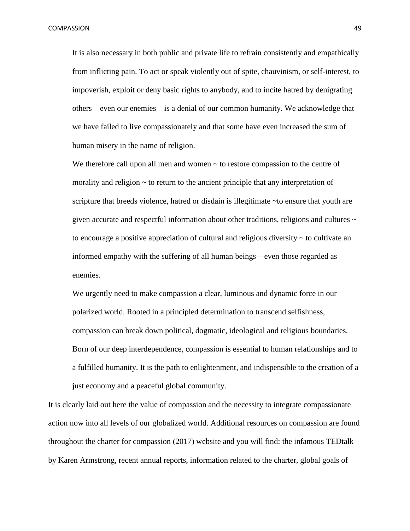It is also necessary in both public and private life to refrain consistently and empathically from inflicting pain. To act or speak violently out of spite, chauvinism, or self-interest, to impoverish, exploit or deny basic rights to anybody, and to incite hatred by denigrating others—even our enemies—is a denial of our common humanity. We acknowledge that we have failed to live compassionately and that some have even increased the sum of human misery in the name of religion.

We therefore call upon all men and women  $\sim$  to restore compassion to the centre of morality and religion  $\sim$  to return to the ancient principle that any interpretation of scripture that breeds violence, hatred or disdain is illegitimate ~to ensure that youth are given accurate and respectful information about other traditions, religions and cultures  $\sim$ to encourage a positive appreciation of cultural and religious diversity  $\sim$  to cultivate an informed empathy with the suffering of all human beings—even those regarded as enemies.

We urgently need to make compassion a clear, luminous and dynamic force in our polarized world. Rooted in a principled determination to transcend selfishness, compassion can break down political, dogmatic, ideological and religious boundaries. Born of our deep interdependence, compassion is essential to human relationships and to a fulfilled humanity. It is the path to enlightenment, and indispensible to the creation of a just economy and a peaceful global community.

It is clearly laid out here the value of compassion and the necessity to integrate compassionate action now into all levels of our globalized world. Additional resources on compassion are found throughout the charter for compassion (2017) website and you will find: the infamous TEDtalk by Karen Armstrong, recent annual reports, information related to the charter, global goals of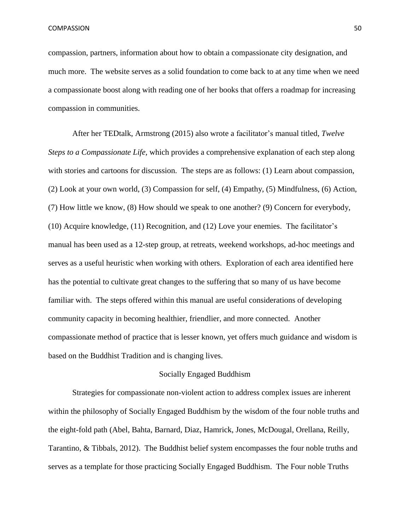compassion, partners, information about how to obtain a compassionate city designation, and much more. The website serves as a solid foundation to come back to at any time when we need a compassionate boost along with reading one of her books that offers a roadmap for increasing compassion in communities.

After her TEDtalk, Armstrong (2015) also wrote a facilitator's manual titled, *Twelve Steps to a Compassionate Life,* which provides a comprehensive explanation of each step along with stories and cartoons for discussion. The steps are as follows: (1) Learn about compassion, (2) Look at your own world, (3) Compassion for self, (4) Empathy, (5) Mindfulness, (6) Action, (7) How little we know, (8) How should we speak to one another? (9) Concern for everybody, (10) Acquire knowledge, (11) Recognition, and (12) Love your enemies. The facilitator's manual has been used as a 12-step group, at retreats, weekend workshops, ad-hoc meetings and serves as a useful heuristic when working with others. Exploration of each area identified here has the potential to cultivate great changes to the suffering that so many of us have become familiar with. The steps offered within this manual are useful considerations of developing community capacity in becoming healthier, friendlier, and more connected. Another compassionate method of practice that is lesser known, yet offers much guidance and wisdom is based on the Buddhist Tradition and is changing lives.

# Socially Engaged Buddhism

Strategies for compassionate non-violent action to address complex issues are inherent within the philosophy of Socially Engaged Buddhism by the wisdom of the four noble truths and the eight-fold path (Abel, Bahta, Barnard, Diaz, Hamrick, Jones, McDougal, Orellana, Reilly, Tarantino, & Tibbals, 2012). The Buddhist belief system encompasses the four noble truths and serves as a template for those practicing Socially Engaged Buddhism. The Four noble Truths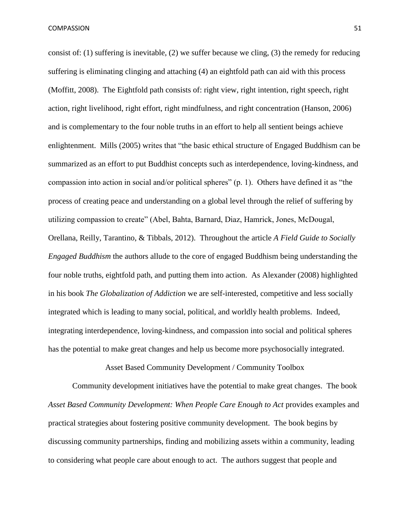consist of: (1) suffering is inevitable, (2) we suffer because we cling, (3) the remedy for reducing suffering is eliminating clinging and attaching (4) an eightfold path can aid with this process (Moffitt, 2008). The Eightfold path consists of: right view, right intention, right speech, right action, right livelihood, right effort, right mindfulness, and right concentration (Hanson, 2006) and is complementary to the four noble truths in an effort to help all sentient beings achieve enlightenment. Mills (2005) writes that "the basic ethical structure of Engaged Buddhism can be summarized as an effort to put Buddhist concepts such as interdependence, loving-kindness, and compassion into action in social and/or political spheres" (p. 1). Others have defined it as "the process of creating peace and understanding on a global level through the relief of suffering by utilizing compassion to create" (Abel, Bahta, Barnard, Diaz, Hamrick, Jones, McDougal, Orellana, Reilly, Tarantino, & Tibbals, 2012). Throughout the article *A Field Guide to Socially Engaged Buddhism* the authors allude to the core of engaged Buddhism being understanding the four noble truths, eightfold path, and putting them into action. As Alexander (2008) highlighted in his book *The Globalization of Addiction* we are self-interested, competitive and less socially integrated which is leading to many social, political, and worldly health problems. Indeed, integrating interdependence, loving-kindness, and compassion into social and political spheres has the potential to make great changes and help us become more psychosocially integrated.

Asset Based Community Development / Community Toolbox

Community development initiatives have the potential to make great changes. The book Asset Based Community Development: When People Care Enough to Act provides examples and practical strategies about fostering positive community development. The book begins by discussing community partnerships, finding and mobilizing assets within a community, leading to considering what people care about enough to act. The authors suggest that people and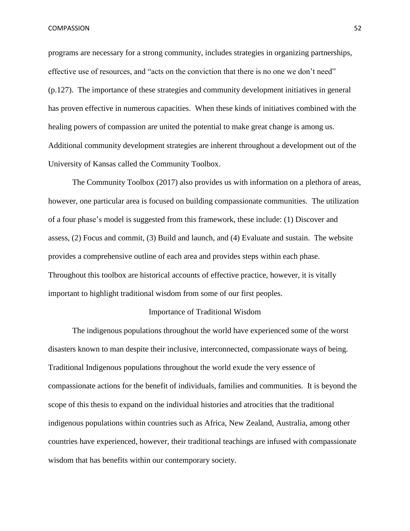programs are necessary for a strong community, includes strategies in organizing partnerships, effective use of resources, and "acts on the conviction that there is no one we don't need" (p.127). The importance of these strategies and community development initiatives in general has proven effective in numerous capacities. When these kinds of initiatives combined with the healing powers of compassion are united the potential to make great change is among us. Additional community development strategies are inherent throughout a development out of the University of Kansas called the Community Toolbox.

The Community Toolbox (2017) also provides us with information on a plethora of areas, however, one particular area is focused on building compassionate communities. The utilization of a four phase's model is suggested from this framework, these include: (1) Discover and assess, (2) Focus and commit, (3) Build and launch, and (4) Evaluate and sustain. The website provides a comprehensive outline of each area and provides steps within each phase. Throughout this toolbox are historical accounts of effective practice, however, it is vitally important to highlight traditional wisdom from some of our first peoples.

### Importance of Traditional Wisdom

The indigenous populations throughout the world have experienced some of the worst disasters known to man despite their inclusive, interconnected, compassionate ways of being. Traditional Indigenous populations throughout the world exude the very essence of compassionate actions for the benefit of individuals, families and communities. It is beyond the scope of this thesis to expand on the individual histories and atrocities that the traditional indigenous populations within countries such as Africa, New Zealand, Australia, among other countries have experienced, however, their traditional teachings are infused with compassionate wisdom that has benefits within our contemporary society.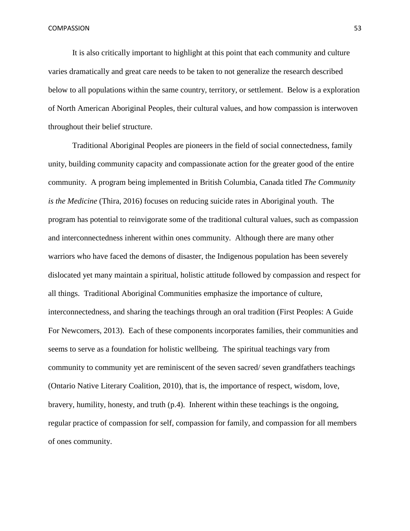It is also critically important to highlight at this point that each community and culture varies dramatically and great care needs to be taken to not generalize the research described below to all populations within the same country, territory, or settlement. Below is a exploration of North American Aboriginal Peoples, their cultural values, and how compassion is interwoven throughout their belief structure.

Traditional Aboriginal Peoples are pioneers in the field of social connectedness, family unity, building community capacity and compassionate action for the greater good of the entire community. A program being implemented in British Columbia, Canada titled *The Community is the Medicine* (Thira, 2016) focuses on reducing suicide rates in Aboriginal youth. The program has potential to reinvigorate some of the traditional cultural values, such as compassion and interconnectedness inherent within ones community. Although there are many other warriors who have faced the demons of disaster, the Indigenous population has been severely dislocated yet many maintain a spiritual, holistic attitude followed by compassion and respect for all things. Traditional Aboriginal Communities emphasize the importance of culture, interconnectedness, and sharing the teachings through an oral tradition (First Peoples: A Guide For Newcomers, 2013). Each of these components incorporates families, their communities and seems to serve as a foundation for holistic wellbeing. The spiritual teachings vary from community to community yet are reminiscent of the seven sacred/ seven grandfathers teachings (Ontario Native Literary Coalition, 2010), that is, the importance of respect, wisdom, love, bravery, humility, honesty, and truth (p.4). Inherent within these teachings is the ongoing, regular practice of compassion for self, compassion for family, and compassion for all members of ones community.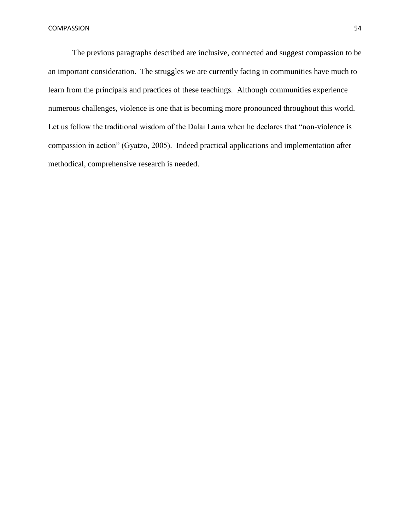The previous paragraphs described are inclusive, connected and suggest compassion to be an important consideration. The struggles we are currently facing in communities have much to learn from the principals and practices of these teachings. Although communities experience numerous challenges, violence is one that is becoming more pronounced throughout this world. Let us follow the traditional wisdom of the Dalai Lama when he declares that "non-violence is compassion in action" (Gyatzo, 2005). Indeed practical applications and implementation after methodical, comprehensive research is needed.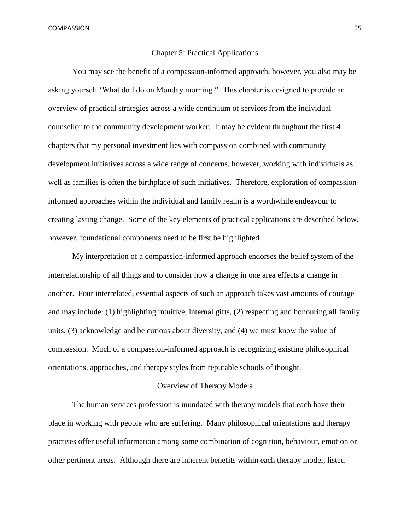#### Chapter 5: Practical Applications

You may see the benefit of a compassion-informed approach, however, you also may be asking yourself 'What do I do on Monday morning?' This chapter is designed to provide an overview of practical strategies across a wide continuum of services from the individual counsellor to the community development worker. It may be evident throughout the first 4 chapters that my personal investment lies with compassion combined with community development initiatives across a wide range of concerns, however, working with individuals as well as families is often the birthplace of such initiatives. Therefore, exploration of compassioninformed approaches within the individual and family realm is a worthwhile endeavour to creating lasting change. Some of the key elements of practical applications are described below, however, foundational components need to be first be highlighted.

My interpretation of a compassion-informed approach endorses the belief system of the interrelationship of all things and to consider how a change in one area effects a change in another. Four interrelated, essential aspects of such an approach takes vast amounts of courage and may include: (1) highlighting intuitive, internal gifts, (2) respecting and honouring all family units, (3) acknowledge and be curious about diversity, and (4) we must know the value of compassion. Much of a compassion-informed approach is recognizing existing philosophical orientations, approaches, and therapy styles from reputable schools of thought.

### Overview of Therapy Models

The human services profession is inundated with therapy models that each have their place in working with people who are suffering. Many philosophical orientations and therapy practises offer useful information among some combination of cognition, behaviour, emotion or other pertinent areas. Although there are inherent benefits within each therapy model, listed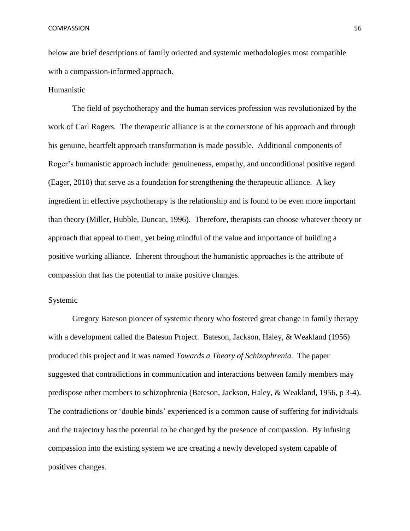below are brief descriptions of family oriented and systemic methodologies most compatible with a compassion-informed approach.

# Humanistic

The field of psychotherapy and the human services profession was revolutionized by the work of Carl Rogers. The therapeutic alliance is at the cornerstone of his approach and through his genuine, heartfelt approach transformation is made possible. Additional components of Roger's humanistic approach include: genuineness, empathy, and unconditional positive regard (Eager, 2010) that serve as a foundation for strengthening the therapeutic alliance. A key ingredient in effective psychotherapy is the relationship and is found to be even more important than theory (Miller, Hubble, Duncan, 1996). Therefore, therapists can choose whatever theory or approach that appeal to them, yet being mindful of the value and importance of building a positive working alliance. Inherent throughout the humanistic approaches is the attribute of compassion that has the potential to make positive changes.

# Systemic

Gregory Bateson pioneer of systemic theory who fostered great change in family therapy with a development called the Bateson Project. Bateson, Jackson, Haley, & Weakland (1956) produced this project and it was named *Towards a Theory of Schizophrenia.* The paper suggested that contradictions in communication and interactions between family members may predispose other members to schizophrenia (Bateson, Jackson, Haley, & Weakland, 1956, p 3-4). The contradictions or 'double binds' experienced is a common cause of suffering for individuals and the trajectory has the potential to be changed by the presence of compassion. By infusing compassion into the existing system we are creating a newly developed system capable of positives changes.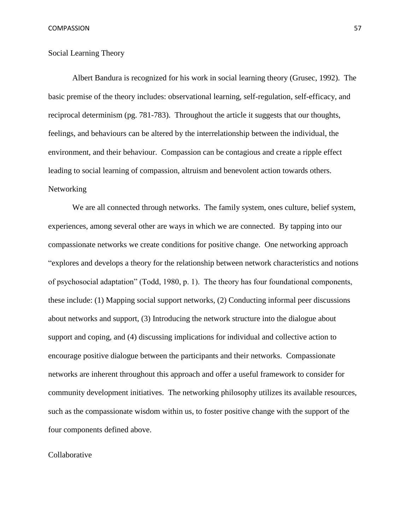## Social Learning Theory

Albert Bandura is recognized for his work in social learning theory (Grusec, 1992). The basic premise of the theory includes: observational learning, self-regulation, self-efficacy, and reciprocal determinism (pg. 781-783). Throughout the article it suggests that our thoughts, feelings, and behaviours can be altered by the interrelationship between the individual, the environment, and their behaviour. Compassion can be contagious and create a ripple effect leading to social learning of compassion, altruism and benevolent action towards others. Networking

We are all connected through networks. The family system, ones culture, belief system, experiences, among several other are ways in which we are connected. By tapping into our compassionate networks we create conditions for positive change. One networking approach "explores and develops a theory for the relationship between network characteristics and notions of psychosocial adaptation" (Todd, 1980, p. 1). The theory has four foundational components, these include: (1) Mapping social support networks, (2) Conducting informal peer discussions about networks and support, (3) Introducing the network structure into the dialogue about support and coping, and (4) discussing implications for individual and collective action to encourage positive dialogue between the participants and their networks. Compassionate networks are inherent throughout this approach and offer a useful framework to consider for community development initiatives. The networking philosophy utilizes its available resources, such as the compassionate wisdom within us, to foster positive change with the support of the four components defined above.

### Collaborative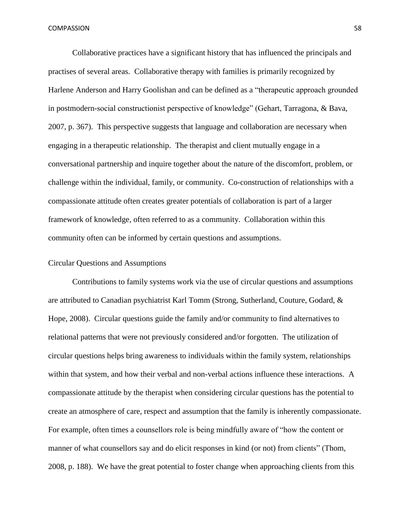Collaborative practices have a significant history that has influenced the principals and practises of several areas. Collaborative therapy with families is primarily recognized by Harlene Anderson and Harry Goolishan and can be defined as a "therapeutic approach grounded in postmodern-social constructionist perspective of knowledge" (Gehart, Tarragona, & Bava, 2007, p. 367). This perspective suggests that language and collaboration are necessary when engaging in a therapeutic relationship. The therapist and client mutually engage in a conversational partnership and inquire together about the nature of the discomfort, problem, or challenge within the individual, family, or community. Co-construction of relationships with a compassionate attitude often creates greater potentials of collaboration is part of a larger framework of knowledge, often referred to as a community. Collaboration within this community often can be informed by certain questions and assumptions.

# Circular Questions and Assumptions

Contributions to family systems work via the use of circular questions and assumptions are attributed to Canadian psychiatrist Karl Tomm (Strong, Sutherland, Couture, Godard, & Hope, 2008). Circular questions guide the family and/or community to find alternatives to relational patterns that were not previously considered and/or forgotten. The utilization of circular questions helps bring awareness to individuals within the family system, relationships within that system, and how their verbal and non-verbal actions influence these interactions. A compassionate attitude by the therapist when considering circular questions has the potential to create an atmosphere of care, respect and assumption that the family is inherently compassionate. For example, often times a counsellors role is being mindfully aware of "how the content or manner of what counsellors say and do elicit responses in kind (or not) from clients" (Thom, 2008, p. 188). We have the great potential to foster change when approaching clients from this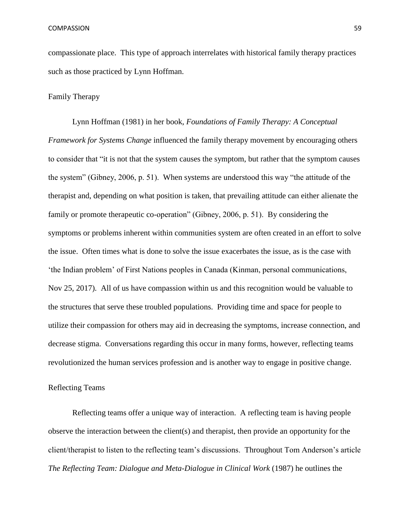compassionate place. This type of approach interrelates with historical family therapy practices such as those practiced by Lynn Hoffman.

# Family Therapy

Lynn Hoffman (1981) in her book, *Foundations of Family Therapy: A Conceptual Framework for Systems Change* influenced the family therapy movement by encouraging others to consider that "it is not that the system causes the symptom, but rather that the symptom causes the system" (Gibney, 2006, p. 51). When systems are understood this way "the attitude of the therapist and, depending on what position is taken, that prevailing attitude can either alienate the family or promote therapeutic co-operation" (Gibney, 2006, p. 51). By considering the symptoms or problems inherent within communities system are often created in an effort to solve the issue. Often times what is done to solve the issue exacerbates the issue, as is the case with 'the Indian problem' of First Nations peoples in Canada (Kinman, personal communications, Nov 25, 2017). All of us have compassion within us and this recognition would be valuable to the structures that serve these troubled populations. Providing time and space for people to utilize their compassion for others may aid in decreasing the symptoms, increase connection, and decrease stigma. Conversations regarding this occur in many forms, however, reflecting teams revolutionized the human services profession and is another way to engage in positive change.

## Reflecting Teams

Reflecting teams offer a unique way of interaction. A reflecting team is having people observe the interaction between the client(s) and therapist, then provide an opportunity for the client/therapist to listen to the reflecting team's discussions. Throughout Tom Anderson's article *The Reflecting Team: Dialogue and Meta-Dialogue in Clinical Work* (1987) he outlines the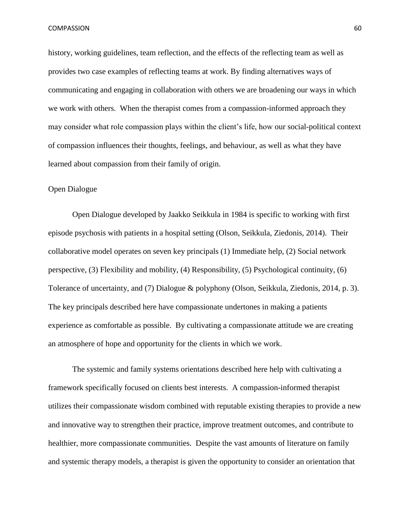history, working guidelines, team reflection, and the effects of the reflecting team as well as provides two case examples of reflecting teams at work. By finding alternatives ways of communicating and engaging in collaboration with others we are broadening our ways in which we work with others. When the therapist comes from a compassion-informed approach they may consider what role compassion plays within the client's life, how our social-political context of compassion influences their thoughts, feelings, and behaviour, as well as what they have learned about compassion from their family of origin.

### Open Dialogue

Open Dialogue developed by Jaakko Seikkula in 1984 is specific to working with first episode psychosis with patients in a hospital setting (Olson, Seikkula, Ziedonis, 2014). Their collaborative model operates on seven key principals (1) Immediate help, (2) Social network perspective, (3) Flexibility and mobility, (4) Responsibility, (5) Psychological continuity, (6) Tolerance of uncertainty, and (7) Dialogue & polyphony (Olson, Seikkula, Ziedonis, 2014, p. 3). The key principals described here have compassionate undertones in making a patients experience as comfortable as possible. By cultivating a compassionate attitude we are creating an atmosphere of hope and opportunity for the clients in which we work.

The systemic and family systems orientations described here help with cultivating a framework specifically focused on clients best interests. A compassion-informed therapist utilizes their compassionate wisdom combined with reputable existing therapies to provide a new and innovative way to strengthen their practice, improve treatment outcomes, and contribute to healthier, more compassionate communities. Despite the vast amounts of literature on family and systemic therapy models, a therapist is given the opportunity to consider an orientation that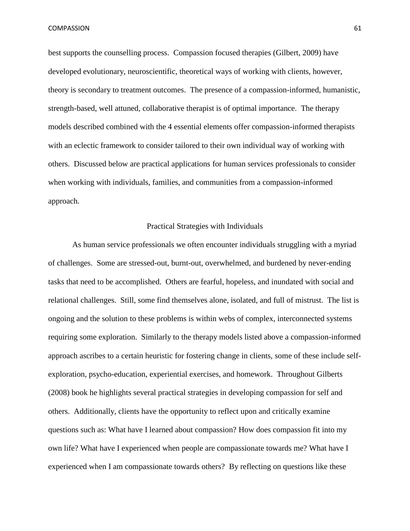best supports the counselling process. Compassion focused therapies (Gilbert, 2009) have developed evolutionary, neuroscientific, theoretical ways of working with clients, however, theory is secondary to treatment outcomes. The presence of a compassion-informed, humanistic, strength-based, well attuned, collaborative therapist is of optimal importance. The therapy models described combined with the 4 essential elements offer compassion-informed therapists with an eclectic framework to consider tailored to their own individual way of working with others. Discussed below are practical applications for human services professionals to consider when working with individuals, families, and communities from a compassion-informed approach.

#### Practical Strategies with Individuals

As human service professionals we often encounter individuals struggling with a myriad of challenges. Some are stressed-out, burnt-out, overwhelmed, and burdened by never-ending tasks that need to be accomplished. Others are fearful, hopeless, and inundated with social and relational challenges. Still, some find themselves alone, isolated, and full of mistrust. The list is ongoing and the solution to these problems is within webs of complex, interconnected systems requiring some exploration. Similarly to the therapy models listed above a compassion-informed approach ascribes to a certain heuristic for fostering change in clients, some of these include selfexploration, psycho-education, experiential exercises, and homework. Throughout Gilberts (2008) book he highlights several practical strategies in developing compassion for self and others. Additionally, clients have the opportunity to reflect upon and critically examine questions such as: What have I learned about compassion? How does compassion fit into my own life? What have I experienced when people are compassionate towards me? What have I experienced when I am compassionate towards others? By reflecting on questions like these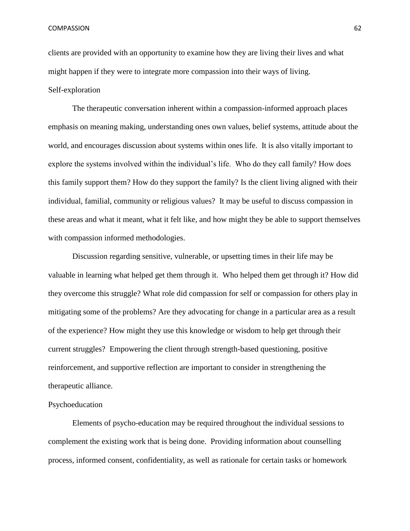clients are provided with an opportunity to examine how they are living their lives and what might happen if they were to integrate more compassion into their ways of living. Self-exploration

The therapeutic conversation inherent within a compassion-informed approach places emphasis on meaning making, understanding ones own values, belief systems, attitude about the world, and encourages discussion about systems within ones life. It is also vitally important to explore the systems involved within the individual's life. Who do they call family? How does this family support them? How do they support the family? Is the client living aligned with their individual, familial, community or religious values? It may be useful to discuss compassion in these areas and what it meant, what it felt like, and how might they be able to support themselves with compassion informed methodologies.

Discussion regarding sensitive, vulnerable, or upsetting times in their life may be valuable in learning what helped get them through it. Who helped them get through it? How did they overcome this struggle? What role did compassion for self or compassion for others play in mitigating some of the problems? Are they advocating for change in a particular area as a result of the experience? How might they use this knowledge or wisdom to help get through their current struggles? Empowering the client through strength-based questioning, positive reinforcement, and supportive reflection are important to consider in strengthening the therapeutic alliance.

## Psychoeducation

Elements of psycho-education may be required throughout the individual sessions to complement the existing work that is being done. Providing information about counselling process, informed consent, confidentiality, as well as rationale for certain tasks or homework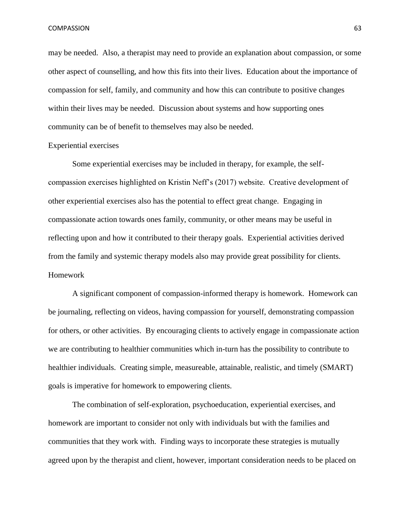may be needed. Also, a therapist may need to provide an explanation about compassion, or some other aspect of counselling, and how this fits into their lives. Education about the importance of compassion for self, family, and community and how this can contribute to positive changes within their lives may be needed. Discussion about systems and how supporting ones community can be of benefit to themselves may also be needed.

#### Experiential exercises

Some experiential exercises may be included in therapy, for example, the selfcompassion exercises highlighted on Kristin Neff's (2017) website. Creative development of other experiential exercises also has the potential to effect great change. Engaging in compassionate action towards ones family, community, or other means may be useful in reflecting upon and how it contributed to their therapy goals. Experiential activities derived from the family and systemic therapy models also may provide great possibility for clients. Homework

A significant component of compassion-informed therapy is homework. Homework can be journaling, reflecting on videos, having compassion for yourself, demonstrating compassion for others, or other activities. By encouraging clients to actively engage in compassionate action we are contributing to healthier communities which in-turn has the possibility to contribute to healthier individuals. Creating simple, measureable, attainable, realistic, and timely (SMART) goals is imperative for homework to empowering clients.

The combination of self-exploration, psychoeducation, experiential exercises, and homework are important to consider not only with individuals but with the families and communities that they work with. Finding ways to incorporate these strategies is mutually agreed upon by the therapist and client, however, important consideration needs to be placed on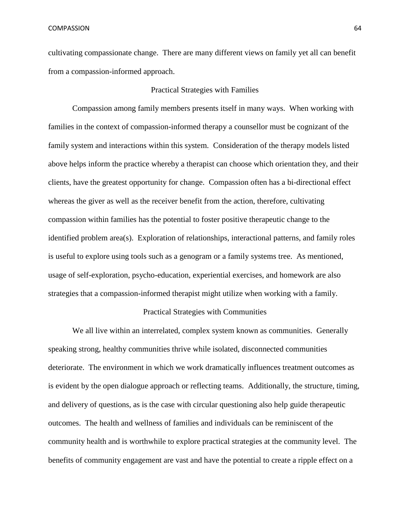cultivating compassionate change. There are many different views on family yet all can benefit from a compassion-informed approach.

## Practical Strategies with Families

Compassion among family members presents itself in many ways. When working with families in the context of compassion-informed therapy a counsellor must be cognizant of the family system and interactions within this system. Consideration of the therapy models listed above helps inform the practice whereby a therapist can choose which orientation they, and their clients, have the greatest opportunity for change. Compassion often has a bi-directional effect whereas the giver as well as the receiver benefit from the action, therefore, cultivating compassion within families has the potential to foster positive therapeutic change to the identified problem area(s). Exploration of relationships, interactional patterns, and family roles is useful to explore using tools such as a genogram or a family systems tree. As mentioned, usage of self-exploration, psycho-education, experiential exercises, and homework are also strategies that a compassion-informed therapist might utilize when working with a family.

#### Practical Strategies with Communities

We all live within an interrelated, complex system known as communities. Generally speaking strong, healthy communities thrive while isolated, disconnected communities deteriorate. The environment in which we work dramatically influences treatment outcomes as is evident by the open dialogue approach or reflecting teams. Additionally, the structure, timing, and delivery of questions, as is the case with circular questioning also help guide therapeutic outcomes. The health and wellness of families and individuals can be reminiscent of the community health and is worthwhile to explore practical strategies at the community level. The benefits of community engagement are vast and have the potential to create a ripple effect on a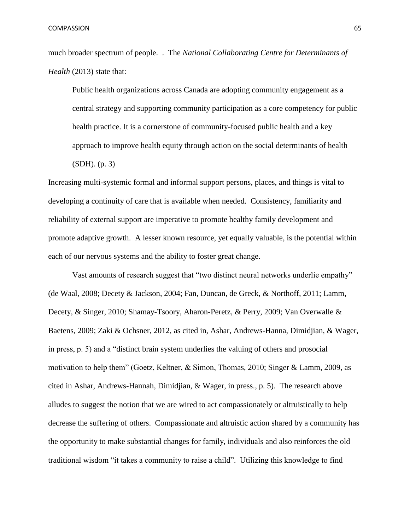much broader spectrum of people. . The *National Collaborating Centre for Determinants of Health* (2013) state that:

Public health organizations across Canada are adopting community engagement as a central strategy and supporting community participation as a core competency for public health practice. It is a cornerstone of community-focused public health and a key approach to improve health equity through action on the social determinants of health (SDH). (p. 3)

Increasing multi-systemic formal and informal support persons, places, and things is vital to developing a continuity of care that is available when needed. Consistency, familiarity and reliability of external support are imperative to promote healthy family development and promote adaptive growth. A lesser known resource, yet equally valuable, is the potential within each of our nervous systems and the ability to foster great change.

Vast amounts of research suggest that "two distinct neural networks underlie empathy" (de Waal, 2008; Decety & Jackson, 2004; Fan, Duncan, de Greck, & Northoff, 2011; Lamm, Decety, & Singer, 2010; Shamay-Tsoory, Aharon-Peretz, & Perry, 2009; Van Overwalle & Baetens, 2009; Zaki & Ochsner, 2012, as cited in, Ashar, Andrews-Hanna, Dimidjian, & Wager, in press, p. 5) and a "distinct brain system underlies the valuing of others and prosocial motivation to help them" (Goetz, Keltner, & Simon, Thomas, 2010; Singer & Lamm, 2009, as cited in Ashar, Andrews-Hannah, Dimidjian, & Wager, in press., p. 5). The research above alludes to suggest the notion that we are wired to act compassionately or altruistically to help decrease the suffering of others. Compassionate and altruistic action shared by a community has the opportunity to make substantial changes for family, individuals and also reinforces the old traditional wisdom "it takes a community to raise a child". Utilizing this knowledge to find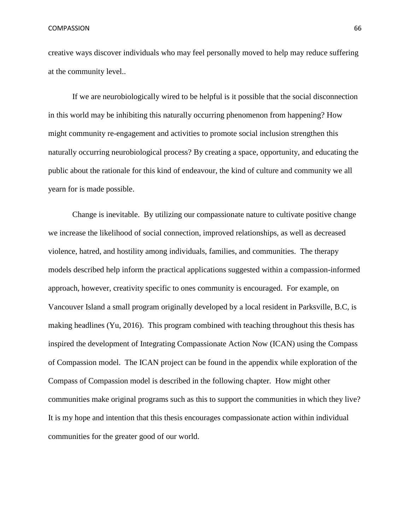creative ways discover individuals who may feel personally moved to help may reduce suffering at the community level..

If we are neurobiologically wired to be helpful is it possible that the social disconnection in this world may be inhibiting this naturally occurring phenomenon from happening? How might community re-engagement and activities to promote social inclusion strengthen this naturally occurring neurobiological process? By creating a space, opportunity, and educating the public about the rationale for this kind of endeavour, the kind of culture and community we all yearn for is made possible.

Change is inevitable. By utilizing our compassionate nature to cultivate positive change we increase the likelihood of social connection, improved relationships, as well as decreased violence, hatred, and hostility among individuals, families, and communities. The therapy models described help inform the practical applications suggested within a compassion-informed approach, however, creativity specific to ones community is encouraged. For example, on Vancouver Island a small program originally developed by a local resident in Parksville, B.C, is making headlines (Yu, 2016). This program combined with teaching throughout this thesis has inspired the development of Integrating Compassionate Action Now (ICAN) using the Compass of Compassion model. The ICAN project can be found in the appendix while exploration of the Compass of Compassion model is described in the following chapter. How might other communities make original programs such as this to support the communities in which they live? It is my hope and intention that this thesis encourages compassionate action within individual communities for the greater good of our world.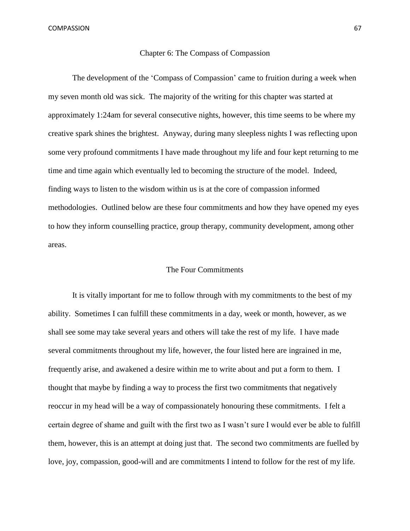### Chapter 6: The Compass of Compassion

The development of the 'Compass of Compassion' came to fruition during a week when my seven month old was sick. The majority of the writing for this chapter was started at approximately 1:24am for several consecutive nights, however, this time seems to be where my creative spark shines the brightest. Anyway, during many sleepless nights I was reflecting upon some very profound commitments I have made throughout my life and four kept returning to me time and time again which eventually led to becoming the structure of the model. Indeed, finding ways to listen to the wisdom within us is at the core of compassion informed methodologies. Outlined below are these four commitments and how they have opened my eyes to how they inform counselling practice, group therapy, community development, among other areas.

# The Four Commitments

It is vitally important for me to follow through with my commitments to the best of my ability. Sometimes I can fulfill these commitments in a day, week or month, however, as we shall see some may take several years and others will take the rest of my life. I have made several commitments throughout my life, however, the four listed here are ingrained in me, frequently arise, and awakened a desire within me to write about and put a form to them. I thought that maybe by finding a way to process the first two commitments that negatively reoccur in my head will be a way of compassionately honouring these commitments. I felt a certain degree of shame and guilt with the first two as I wasn't sure I would ever be able to fulfill them, however, this is an attempt at doing just that. The second two commitments are fuelled by love, joy, compassion, good-will and are commitments I intend to follow for the rest of my life.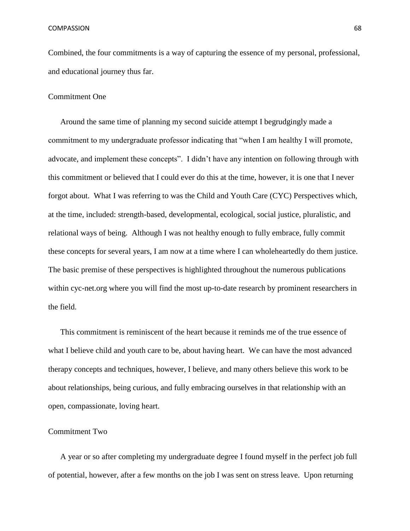Combined, the four commitments is a way of capturing the essence of my personal, professional, and educational journey thus far.

## Commitment One

Around the same time of planning my second suicide attempt I begrudgingly made a commitment to my undergraduate professor indicating that "when I am healthy I will promote, advocate, and implement these concepts". I didn't have any intention on following through with this commitment or believed that I could ever do this at the time, however, it is one that I never forgot about. What I was referring to was the Child and Youth Care (CYC) Perspectives which, at the time, included: strength-based, developmental, ecological, social justice, pluralistic, and relational ways of being. Although I was not healthy enough to fully embrace, fully commit these concepts for several years, I am now at a time where I can wholeheartedly do them justice. The basic premise of these perspectives is highlighted throughout the numerous publications within cyc-net.org where you will find the most up-to-date research by prominent researchers in the field.

This commitment is reminiscent of the heart because it reminds me of the true essence of what I believe child and youth care to be, about having heart. We can have the most advanced therapy concepts and techniques, however, I believe, and many others believe this work to be about relationships, being curious, and fully embracing ourselves in that relationship with an open, compassionate, loving heart.

# Commitment Two

A year or so after completing my undergraduate degree I found myself in the perfect job full of potential, however, after a few months on the job I was sent on stress leave. Upon returning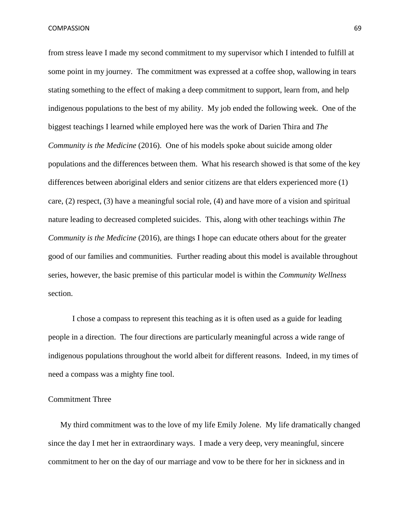from stress leave I made my second commitment to my supervisor which I intended to fulfill at some point in my journey. The commitment was expressed at a coffee shop, wallowing in tears stating something to the effect of making a deep commitment to support, learn from, and help indigenous populations to the best of my ability. My job ended the following week. One of the biggest teachings I learned while employed here was the work of Darien Thira and *The Community is the Medicine* (2016). One of his models spoke about suicide among older populations and the differences between them. What his research showed is that some of the key differences between aboriginal elders and senior citizens are that elders experienced more (1) care, (2) respect, (3) have a meaningful social role, (4) and have more of a vision and spiritual nature leading to decreased completed suicides. This, along with other teachings within *The Community is the Medicine* (2016)*,* are things I hope can educate others about for the greater good of our families and communities. Further reading about this model is available throughout series, however, the basic premise of this particular model is within the *Community Wellness*  section.

I chose a compass to represent this teaching as it is often used as a guide for leading people in a direction. The four directions are particularly meaningful across a wide range of indigenous populations throughout the world albeit for different reasons. Indeed, in my times of need a compass was a mighty fine tool.

# Commitment Three

My third commitment was to the love of my life Emily Jolene. My life dramatically changed since the day I met her in extraordinary ways. I made a very deep, very meaningful, sincere commitment to her on the day of our marriage and vow to be there for her in sickness and in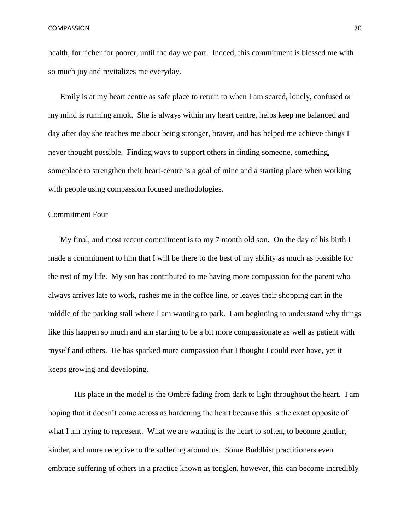health, for richer for poorer, until the day we part. Indeed, this commitment is blessed me with so much joy and revitalizes me everyday.

Emily is at my heart centre as safe place to return to when I am scared, lonely, confused or my mind is running amok. She is always within my heart centre, helps keep me balanced and day after day she teaches me about being stronger, braver, and has helped me achieve things I never thought possible. Finding ways to support others in finding someone, something, someplace to strengthen their heart-centre is a goal of mine and a starting place when working with people using compassion focused methodologies.

# Commitment Four

My final, and most recent commitment is to my 7 month old son. On the day of his birth I made a commitment to him that I will be there to the best of my ability as much as possible for the rest of my life. My son has contributed to me having more compassion for the parent who always arrives late to work, rushes me in the coffee line, or leaves their shopping cart in the middle of the parking stall where I am wanting to park. I am beginning to understand why things like this happen so much and am starting to be a bit more compassionate as well as patient with myself and others. He has sparked more compassion that I thought I could ever have, yet it keeps growing and developing.

His place in the model is the Ombré fading from dark to light throughout the heart. I am hoping that it doesn't come across as hardening the heart because this is the exact opposite of what I am trying to represent. What we are wanting is the heart to soften, to become gentler, kinder, and more receptive to the suffering around us. Some Buddhist practitioners even embrace suffering of others in a practice known as tonglen, however, this can become incredibly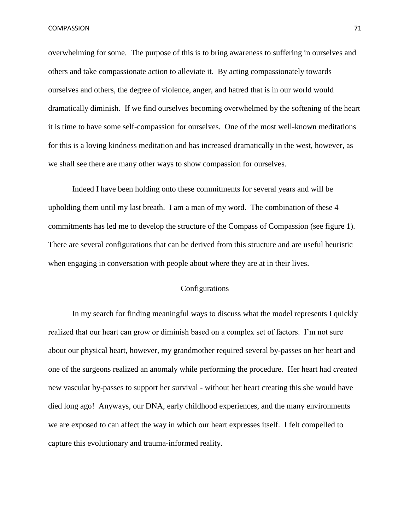overwhelming for some. The purpose of this is to bring awareness to suffering in ourselves and others and take compassionate action to alleviate it. By acting compassionately towards ourselves and others, the degree of violence, anger, and hatred that is in our world would dramatically diminish. If we find ourselves becoming overwhelmed by the softening of the heart it is time to have some self-compassion for ourselves. One of the most well-known meditations for this is a loving kindness meditation and has increased dramatically in the west, however, as we shall see there are many other ways to show compassion for ourselves.

Indeed I have been holding onto these commitments for several years and will be upholding them until my last breath. I am a man of my word. The combination of these 4 commitments has led me to develop the structure of the Compass of Compassion (see figure 1). There are several configurations that can be derived from this structure and are useful heuristic when engaging in conversation with people about where they are at in their lives.

# Configurations

In my search for finding meaningful ways to discuss what the model represents I quickly realized that our heart can grow or diminish based on a complex set of factors. I'm not sure about our physical heart, however, my grandmother required several by-passes on her heart and one of the surgeons realized an anomaly while performing the procedure. Her heart had *created* new vascular by-passes to support her survival - without her heart creating this she would have died long ago! Anyways, our DNA, early childhood experiences, and the many environments we are exposed to can affect the way in which our heart expresses itself. I felt compelled to capture this evolutionary and trauma-informed reality.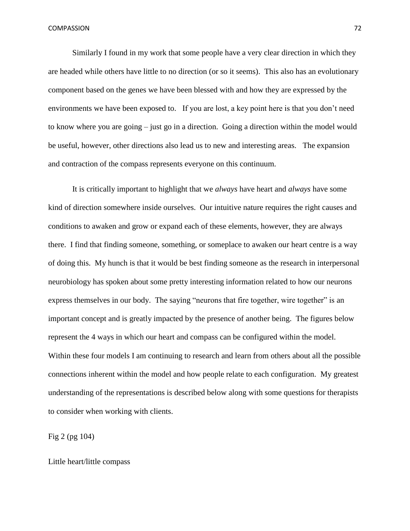Similarly I found in my work that some people have a very clear direction in which they are headed while others have little to no direction (or so it seems). This also has an evolutionary component based on the genes we have been blessed with and how they are expressed by the environments we have been exposed to. If you are lost, a key point here is that you don't need to know where you are going – just go in a direction. Going a direction within the model would be useful, however, other directions also lead us to new and interesting areas. The expansion and contraction of the compass represents everyone on this continuum.

It is critically important to highlight that we *always* have heart and *always* have some kind of direction somewhere inside ourselves. Our intuitive nature requires the right causes and conditions to awaken and grow or expand each of these elements, however, they are always there. I find that finding someone, something, or someplace to awaken our heart centre is a way of doing this. My hunch is that it would be best finding someone as the research in interpersonal neurobiology has spoken about some pretty interesting information related to how our neurons express themselves in our body. The saying "neurons that fire together, wire together" is an important concept and is greatly impacted by the presence of another being. The figures below represent the 4 ways in which our heart and compass can be configured within the model. Within these four models I am continuing to research and learn from others about all the possible connections inherent within the model and how people relate to each configuration. My greatest understanding of the representations is described below along with some questions for therapists to consider when working with clients.

Fig 2 (pg 104)

Little heart/little compass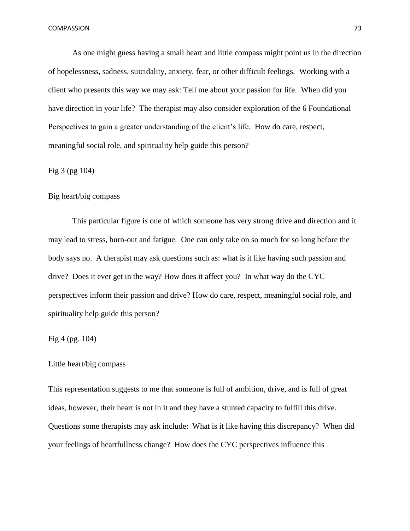As one might guess having a small heart and little compass might point us in the direction of hopelessness, sadness, suicidality, anxiety, fear, or other difficult feelings. Working with a client who presents this way we may ask: Tell me about your passion for life. When did you have direction in your life? The therapist may also consider exploration of the 6 Foundational Perspectives to gain a greater understanding of the client's life. How do care, respect, meaningful social role, and spirituality help guide this person?

## Fig 3 (pg 104)

## Big heart/big compass

This particular figure is one of which someone has very strong drive and direction and it may lead to stress, burn-out and fatigue. One can only take on so much for so long before the body says no. A therapist may ask questions such as: what is it like having such passion and drive? Does it ever get in the way? How does it affect you? In what way do the CYC perspectives inform their passion and drive? How do care, respect, meaningful social role, and spirituality help guide this person?

#### Fig 4 (pg. 104)

#### Little heart/big compass

This representation suggests to me that someone is full of ambition, drive, and is full of great ideas, however, their heart is not in it and they have a stunted capacity to fulfill this drive. Questions some therapists may ask include: What is it like having this discrepancy? When did your feelings of heartfullness change? How does the CYC perspectives influence this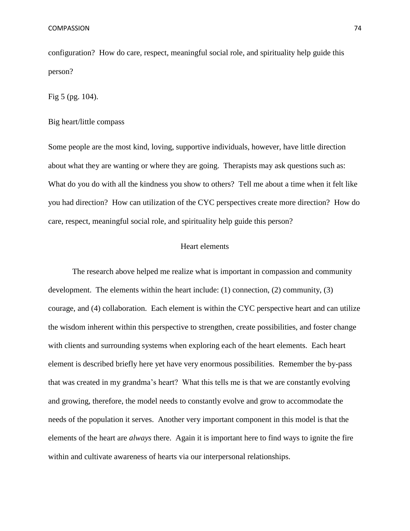configuration? How do care, respect, meaningful social role, and spirituality help guide this person?

Fig 5 (pg. 104).

Big heart/little compass

Some people are the most kind, loving, supportive individuals, however, have little direction about what they are wanting or where they are going. Therapists may ask questions such as: What do you do with all the kindness you show to others? Tell me about a time when it felt like you had direction? How can utilization of the CYC perspectives create more direction? How do care, respect, meaningful social role, and spirituality help guide this person?

#### Heart elements

The research above helped me realize what is important in compassion and community development. The elements within the heart include: (1) connection, (2) community, (3) courage, and (4) collaboration. Each element is within the CYC perspective heart and can utilize the wisdom inherent within this perspective to strengthen, create possibilities, and foster change with clients and surrounding systems when exploring each of the heart elements. Each heart element is described briefly here yet have very enormous possibilities. Remember the by-pass that was created in my grandma's heart? What this tells me is that we are constantly evolving and growing, therefore, the model needs to constantly evolve and grow to accommodate the needs of the population it serves. Another very important component in this model is that the elements of the heart are *always* there. Again it is important here to find ways to ignite the fire within and cultivate awareness of hearts via our interpersonal relationships.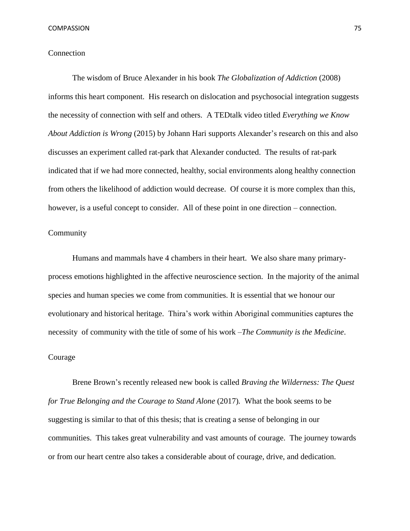## Connection

The wisdom of Bruce Alexander in his book *The Globalization of Addiction* (2008) informs this heart component. His research on dislocation and psychosocial integration suggests the necessity of connection with self and others. A TEDtalk video titled *Everything we Know About Addiction is Wrong* (2015) by Johann Hari supports Alexander's research on this and also discusses an experiment called rat-park that Alexander conducted. The results of rat-park indicated that if we had more connected, healthy, social environments along healthy connection from others the likelihood of addiction would decrease. Of course it is more complex than this, however, is a useful concept to consider. All of these point in one direction – connection.

## Community

Humans and mammals have 4 chambers in their heart. We also share many primaryprocess emotions highlighted in the affective neuroscience section. In the majority of the animal species and human species we come from communities. It is essential that we honour our evolutionary and historical heritage. Thira's work within Aboriginal communities captures the necessity of community with the title of some of his work *–The Community is the Medicine*.

#### Courage

Brene Brown's recently released new book is called *Braving the Wilderness: The Quest for True Belonging and the Courage to Stand Alone* (2017)*.* What the book seems to be suggesting is similar to that of this thesis; that is creating a sense of belonging in our communities. This takes great vulnerability and vast amounts of courage. The journey towards or from our heart centre also takes a considerable about of courage, drive, and dedication.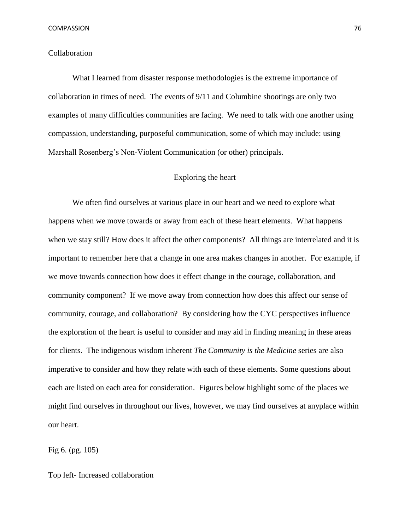#### Collaboration

What I learned from disaster response methodologies is the extreme importance of collaboration in times of need. The events of 9/11 and Columbine shootings are only two examples of many difficulties communities are facing. We need to talk with one another using compassion, understanding, purposeful communication, some of which may include: using Marshall Rosenberg's Non-Violent Communication (or other) principals.

## Exploring the heart

We often find ourselves at various place in our heart and we need to explore what happens when we move towards or away from each of these heart elements. What happens when we stay still? How does it affect the other components? All things are interrelated and it is important to remember here that a change in one area makes changes in another. For example, if we move towards connection how does it effect change in the courage, collaboration, and community component? If we move away from connection how does this affect our sense of community, courage, and collaboration? By considering how the CYC perspectives influence the exploration of the heart is useful to consider and may aid in finding meaning in these areas for clients. The indigenous wisdom inherent *The Community is the Medicine* series are also imperative to consider and how they relate with each of these elements. Some questions about each are listed on each area for consideration. Figures below highlight some of the places we might find ourselves in throughout our lives, however, we may find ourselves at anyplace within our heart.

Fig 6. (pg. 105)

Top left- Increased collaboration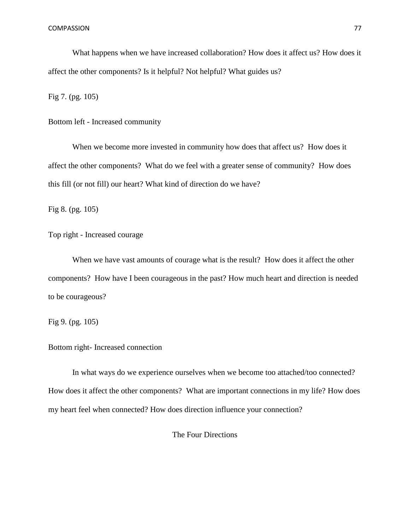What happens when we have increased collaboration? How does it affect us? How does it affect the other components? Is it helpful? Not helpful? What guides us?

Fig 7. (pg. 105)

Bottom left - Increased community

When we become more invested in community how does that affect us? How does it affect the other components? What do we feel with a greater sense of community? How does this fill (or not fill) our heart? What kind of direction do we have?

Fig 8. (pg. 105)

Top right - Increased courage

When we have vast amounts of courage what is the result? How does it affect the other components? How have I been courageous in the past? How much heart and direction is needed to be courageous?

Fig 9. (pg. 105)

## Bottom right- Increased connection

In what ways do we experience ourselves when we become too attached/too connected? How does it affect the other components? What are important connections in my life? How does my heart feel when connected? How does direction influence your connection?

The Four Directions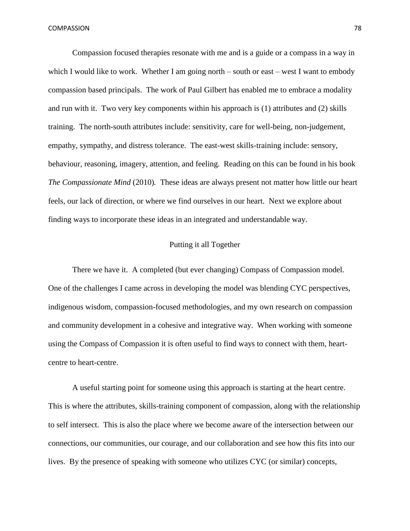Compassion focused therapies resonate with me and is a guide or a compass in a way in which I would like to work. Whether I am going north – south or east – west I want to embody compassion based principals. The work of Paul Gilbert has enabled me to embrace a modality and run with it. Two very key components within his approach is (1) attributes and (2) skills training. The north-south attributes include: sensitivity, care for well-being, non-judgement, empathy, sympathy, and distress tolerance. The east-west skills-training include: sensory, behaviour, reasoning, imagery, attention, and feeling. Reading on this can be found in his book *The Compassionate Mind* (2010)*.* These ideas are always present not matter how little our heart feels, our lack of direction, or where we find ourselves in our heart. Next we explore about finding ways to incorporate these ideas in an integrated and understandable way.

## Putting it all Together

There we have it. A completed (but ever changing) Compass of Compassion model. One of the challenges I came across in developing the model was blending CYC perspectives, indigenous wisdom, compassion-focused methodologies, and my own research on compassion and community development in a cohesive and integrative way. When working with someone using the Compass of Compassion it is often useful to find ways to connect with them, heartcentre to heart-centre.

A useful starting point for someone using this approach is starting at the heart centre. This is where the attributes, skills-training component of compassion, along with the relationship to self intersect. This is also the place where we become aware of the intersection between our connections, our communities, our courage, and our collaboration and see how this fits into our lives. By the presence of speaking with someone who utilizes CYC (or similar) concepts,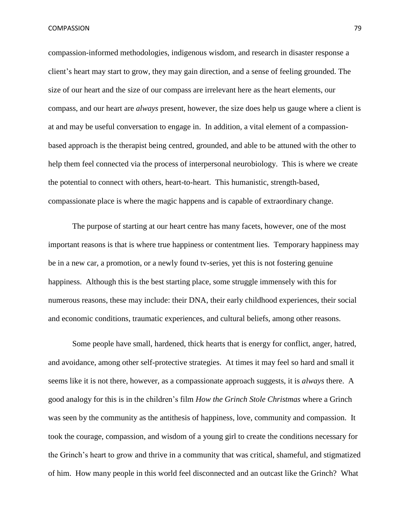compassion-informed methodologies, indigenous wisdom, and research in disaster response a client's heart may start to grow, they may gain direction, and a sense of feeling grounded. The size of our heart and the size of our compass are irrelevant here as the heart elements, our compass, and our heart are *always* present, however, the size does help us gauge where a client is at and may be useful conversation to engage in. In addition, a vital element of a compassionbased approach is the therapist being centred, grounded, and able to be attuned with the other to help them feel connected via the process of interpersonal neurobiology. This is where we create the potential to connect with others, heart-to-heart. This humanistic, strength-based, compassionate place is where the magic happens and is capable of extraordinary change.

The purpose of starting at our heart centre has many facets, however, one of the most important reasons is that is where true happiness or contentment lies. Temporary happiness may be in a new car, a promotion, or a newly found tv-series, yet this is not fostering genuine happiness. Although this is the best starting place, some struggle immensely with this for numerous reasons, these may include: their DNA, their early childhood experiences, their social and economic conditions, traumatic experiences, and cultural beliefs, among other reasons.

Some people have small, hardened, thick hearts that is energy for conflict, anger, hatred, and avoidance, among other self-protective strategies. At times it may feel so hard and small it seems like it is not there, however, as a compassionate approach suggests, it is *always* there. A good analogy for this is in the children's film *How the Grinch Stole Christmas* where a Grinch was seen by the community as the antithesis of happiness, love, community and compassion. It took the courage, compassion, and wisdom of a young girl to create the conditions necessary for the Grinch's heart to grow and thrive in a community that was critical, shameful, and stigmatized of him. How many people in this world feel disconnected and an outcast like the Grinch? What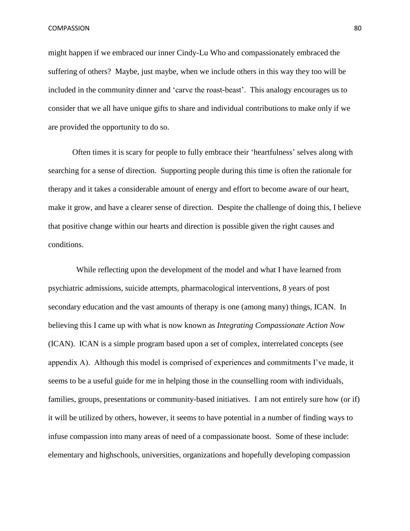might happen if we embraced our inner Cindy-Lu Who and compassionately embraced the suffering of others? Maybe, just maybe, when we include others in this way they too will be included in the community dinner and 'carve the roast-beast'. This analogy encourages us to consider that we all have unique gifts to share and individual contributions to make only if we are provided the opportunity to do so.

Often times it is scary for people to fully embrace their 'heartfulness' selves along with searching for a sense of direction. Supporting people during this time is often the rationale for therapy and it takes a considerable amount of energy and effort to become aware of our heart, make it grow, and have a clearer sense of direction. Despite the challenge of doing this, I believe that positive change within our hearts and direction is possible given the right causes and conditions.

 While reflecting upon the development of the model and what I have learned from psychiatric admissions, suicide attempts, pharmacological interventions, 8 years of post secondary education and the vast amounts of therapy is one (among many) things, ICAN. In believing this I came up with what is now known as *Integrating Compassionate Action Now* (ICAN). ICAN is a simple program based upon a set of complex, interrelated concepts (see appendix A). Although this model is comprised of experiences and commitments I've made, it seems to be a useful guide for me in helping those in the counselling room with individuals, families, groups, presentations or community-based initiatives. I am not entirely sure how (or if) it will be utilized by others, however, it seems to have potential in a number of finding ways to infuse compassion into many areas of need of a compassionate boost. Some of these include: elementary and highschools, universities, organizations and hopefully developing compassion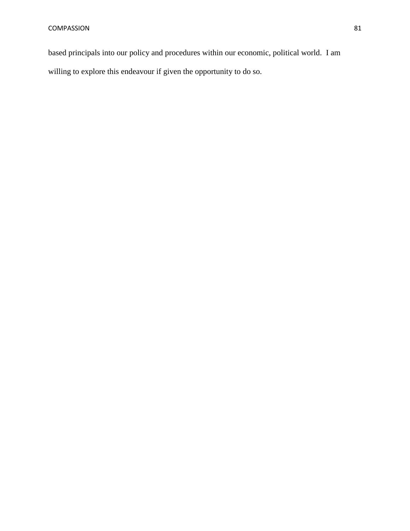based principals into our policy and procedures within our economic, political world. I am

willing to explore this endeavour if given the opportunity to do so.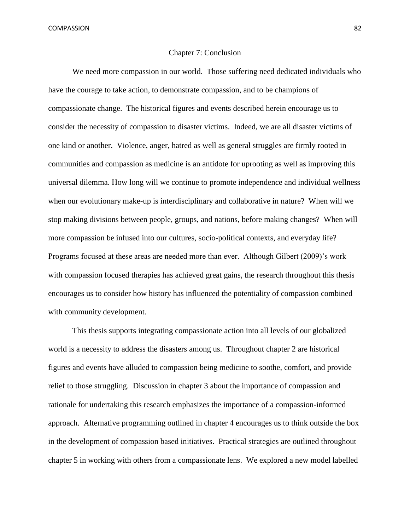#### Chapter 7: Conclusion

We need more compassion in our world. Those suffering need dedicated individuals who have the courage to take action, to demonstrate compassion, and to be champions of compassionate change. The historical figures and events described herein encourage us to consider the necessity of compassion to disaster victims. Indeed, we are all disaster victims of one kind or another. Violence, anger, hatred as well as general struggles are firmly rooted in communities and compassion as medicine is an antidote for uprooting as well as improving this universal dilemma. How long will we continue to promote independence and individual wellness when our evolutionary make-up is interdisciplinary and collaborative in nature? When will we stop making divisions between people, groups, and nations, before making changes? When will more compassion be infused into our cultures, socio-political contexts, and everyday life? Programs focused at these areas are needed more than ever. Although Gilbert (2009)'s work with compassion focused therapies has achieved great gains, the research throughout this thesis encourages us to consider how history has influenced the potentiality of compassion combined with community development.

This thesis supports integrating compassionate action into all levels of our globalized world is a necessity to address the disasters among us. Throughout chapter 2 are historical figures and events have alluded to compassion being medicine to soothe, comfort, and provide relief to those struggling. Discussion in chapter 3 about the importance of compassion and rationale for undertaking this research emphasizes the importance of a compassion-informed approach. Alternative programming outlined in chapter 4 encourages us to think outside the box in the development of compassion based initiatives. Practical strategies are outlined throughout chapter 5 in working with others from a compassionate lens. We explored a new model labelled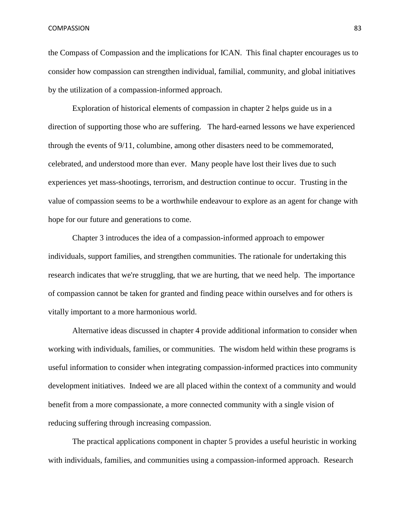the Compass of Compassion and the implications for ICAN. This final chapter encourages us to consider how compassion can strengthen individual, familial, community, and global initiatives by the utilization of a compassion-informed approach.

Exploration of historical elements of compassion in chapter 2 helps guide us in a direction of supporting those who are suffering. The hard-earned lessons we have experienced through the events of 9/11, columbine, among other disasters need to be commemorated, celebrated, and understood more than ever. Many people have lost their lives due to such experiences yet mass-shootings, terrorism, and destruction continue to occur. Trusting in the value of compassion seems to be a worthwhile endeavour to explore as an agent for change with hope for our future and generations to come.

Chapter 3 introduces the idea of a compassion-informed approach to empower individuals, support families, and strengthen communities. The rationale for undertaking this research indicates that we're struggling, that we are hurting, that we need help. The importance of compassion cannot be taken for granted and finding peace within ourselves and for others is vitally important to a more harmonious world.

Alternative ideas discussed in chapter 4 provide additional information to consider when working with individuals, families, or communities. The wisdom held within these programs is useful information to consider when integrating compassion-informed practices into community development initiatives. Indeed we are all placed within the context of a community and would benefit from a more compassionate, a more connected community with a single vision of reducing suffering through increasing compassion.

The practical applications component in chapter 5 provides a useful heuristic in working with individuals, families, and communities using a compassion-informed approach. Research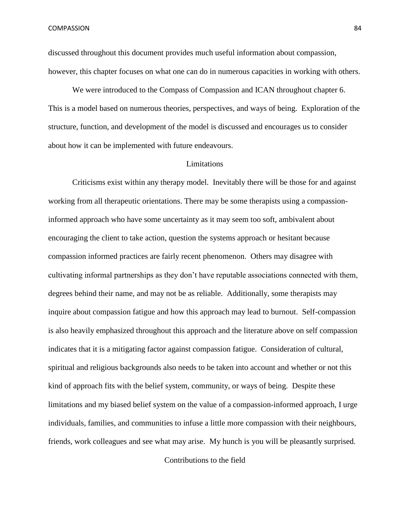discussed throughout this document provides much useful information about compassion, however, this chapter focuses on what one can do in numerous capacities in working with others.

We were introduced to the Compass of Compassion and ICAN throughout chapter 6. This is a model based on numerous theories, perspectives, and ways of being. Exploration of the structure, function, and development of the model is discussed and encourages us to consider about how it can be implemented with future endeavours.

#### Limitations

Criticisms exist within any therapy model. Inevitably there will be those for and against working from all therapeutic orientations. There may be some therapists using a compassioninformed approach who have some uncertainty as it may seem too soft, ambivalent about encouraging the client to take action, question the systems approach or hesitant because compassion informed practices are fairly recent phenomenon. Others may disagree with cultivating informal partnerships as they don't have reputable associations connected with them, degrees behind their name, and may not be as reliable. Additionally, some therapists may inquire about compassion fatigue and how this approach may lead to burnout. Self-compassion is also heavily emphasized throughout this approach and the literature above on self compassion indicates that it is a mitigating factor against compassion fatigue. Consideration of cultural, spiritual and religious backgrounds also needs to be taken into account and whether or not this kind of approach fits with the belief system, community, or ways of being. Despite these limitations and my biased belief system on the value of a compassion-informed approach, I urge individuals, families, and communities to infuse a little more compassion with their neighbours, friends, work colleagues and see what may arise. My hunch is you will be pleasantly surprised.

Contributions to the field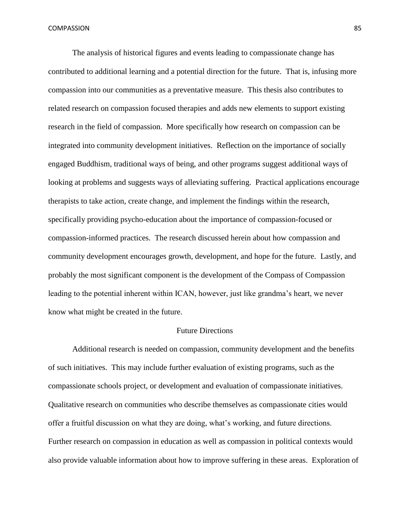The analysis of historical figures and events leading to compassionate change has contributed to additional learning and a potential direction for the future. That is, infusing more compassion into our communities as a preventative measure. This thesis also contributes to related research on compassion focused therapies and adds new elements to support existing research in the field of compassion. More specifically how research on compassion can be integrated into community development initiatives. Reflection on the importance of socially engaged Buddhism, traditional ways of being, and other programs suggest additional ways of looking at problems and suggests ways of alleviating suffering. Practical applications encourage therapists to take action, create change, and implement the findings within the research, specifically providing psycho-education about the importance of compassion-focused or compassion-informed practices. The research discussed herein about how compassion and community development encourages growth, development, and hope for the future. Lastly, and probably the most significant component is the development of the Compass of Compassion leading to the potential inherent within ICAN, however, just like grandma's heart, we never know what might be created in the future.

#### Future Directions

Additional research is needed on compassion, community development and the benefits of such initiatives. This may include further evaluation of existing programs, such as the compassionate schools project, or development and evaluation of compassionate initiatives. Qualitative research on communities who describe themselves as compassionate cities would offer a fruitful discussion on what they are doing, what's working, and future directions. Further research on compassion in education as well as compassion in political contexts would also provide valuable information about how to improve suffering in these areas. Exploration of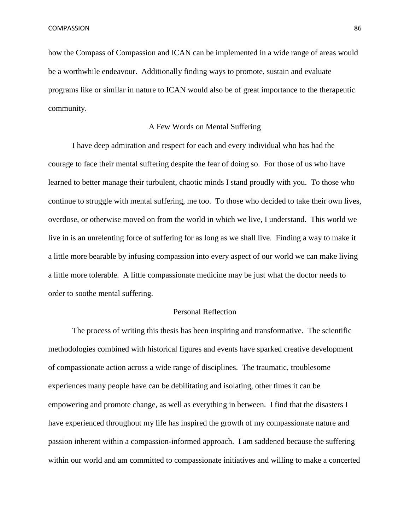how the Compass of Compassion and ICAN can be implemented in a wide range of areas would be a worthwhile endeavour. Additionally finding ways to promote, sustain and evaluate programs like or similar in nature to ICAN would also be of great importance to the therapeutic community.

#### A Few Words on Mental Suffering

I have deep admiration and respect for each and every individual who has had the courage to face their mental suffering despite the fear of doing so. For those of us who have learned to better manage their turbulent, chaotic minds I stand proudly with you. To those who continue to struggle with mental suffering, me too. To those who decided to take their own lives, overdose, or otherwise moved on from the world in which we live, I understand. This world we live in is an unrelenting force of suffering for as long as we shall live. Finding a way to make it a little more bearable by infusing compassion into every aspect of our world we can make living a little more tolerable. A little compassionate medicine may be just what the doctor needs to order to soothe mental suffering.

#### Personal Reflection

The process of writing this thesis has been inspiring and transformative. The scientific methodologies combined with historical figures and events have sparked creative development of compassionate action across a wide range of disciplines. The traumatic, troublesome experiences many people have can be debilitating and isolating, other times it can be empowering and promote change, as well as everything in between. I find that the disasters I have experienced throughout my life has inspired the growth of my compassionate nature and passion inherent within a compassion-informed approach. I am saddened because the suffering within our world and am committed to compassionate initiatives and willing to make a concerted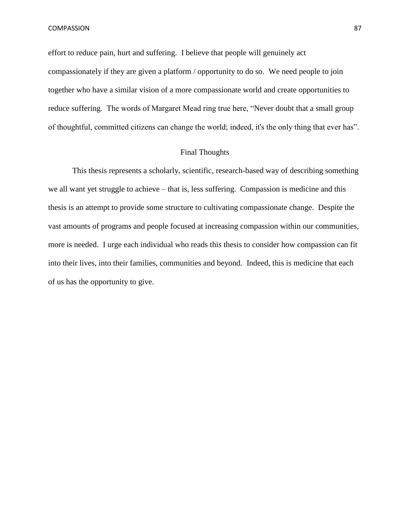effort to reduce pain, hurt and suffering. I believe that people will genuinely act compassionately if they are given a platform / opportunity to do so. We need people to join together who have a similar vision of a more compassionate world and create opportunities to reduce suffering. The words of Margaret Mead ring true here, "Never doubt that a small group of thoughtful, committed citizens can change the world; indeed, it's the only thing that ever has".

## Final Thoughts

This thesis represents a scholarly, scientific, research-based way of describing something we all want yet struggle to achieve – that is, less suffering. Compassion is medicine and this thesis is an attempt to provide some structure to cultivating compassionate change. Despite the vast amounts of programs and people focused at increasing compassion within our communities, more is needed. I urge each individual who reads this thesis to consider how compassion can fit into their lives, into their families, communities and beyond. Indeed, this is medicine that each of us has the opportunity to give.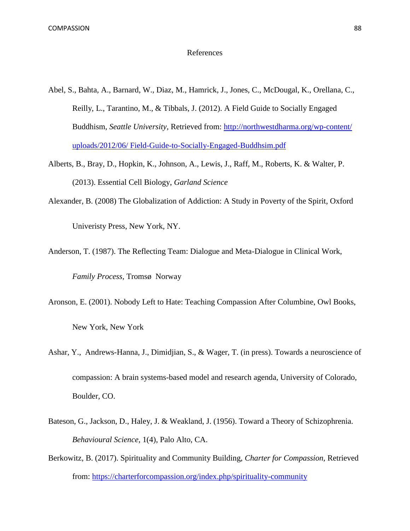#### References

- Abel, S., Bahta, A., Barnard, W., Diaz, M., Hamrick, J., Jones, C., McDougal, K., Orellana, C., Reilly, L., Tarantino, M., & Tibbals, J. (2012). A Field Guide to Socially Engaged Buddhism, *Seattle University,* Retrieved from: [http://northwestdharma.org/wp-content/](http://northwestdharma.org/wp-content/%20uploads/2012/06/%20Field-Guide-to-Socially-Engaged-Buddhsim.pdf)  [uploads/2012/06/ Field-Guide-to-Socially-Engaged-Buddhsim.pdf](http://northwestdharma.org/wp-content/%20uploads/2012/06/%20Field-Guide-to-Socially-Engaged-Buddhsim.pdf)
- Alberts, B., Bray, D., Hopkin, K., Johnson, A., Lewis, J., Raff, M., Roberts, K. & Walter, P. (2013). Essential Cell Biology, *Garland Science*
- Alexander, B. (2008) The Globalization of Addiction: A Study in Poverty of the Spirit, Oxford Univeristy Press, New York, NY.
- Anderson, T. (1987). The Reflecting Team: Dialogue and Meta-Dialogue in Clinical Work, *Family Process,* Tromsø Norway
- Aronson, E. (2001). Nobody Left to Hate: Teaching Compassion After Columbine, Owl Books, New York, New York
- Ashar, Y., Andrews-Hanna, J., Dimidjian, S., & Wager, T. (in press). Towards a neuroscience of compassion: A brain systems-based model and research agenda, University of Colorado, Boulder, CO.
- Bateson, G., Jackson, D., Haley, J. & Weakland, J. (1956). Toward a Theory of Schizophrenia. *Behavioural Science,* 1(4), Palo Alto, CA.
- Berkowitz, B. (2017). Spirituality and Community Building, *Charter for Compassion,* Retrieved from:<https://charterforcompassion.org/index.php/spirituality-community>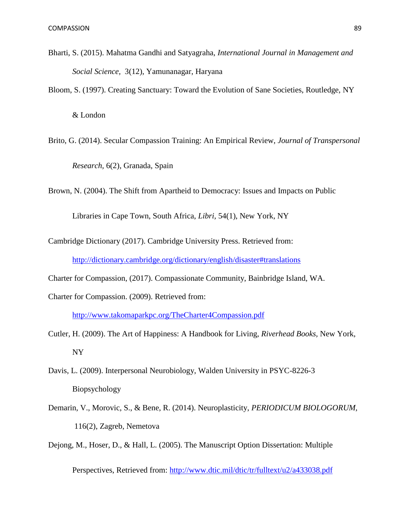- Bharti, S. (2015). Mahatma Gandhi and Satyagraha, *International Journal in Management and Social Science,* 3(12), Yamunanagar, Haryana
- Bloom, S. (1997). Creating Sanctuary: Toward the Evolution of Sane Societies, Routledge, NY

& London

Brito, G. (2014). Secular Compassion Training: An Empirical Review, *Journal of Transpersonal Research,* 6(2), Granada, Spain

Brown, N. (2004). The Shift from Apartheid to Democracy: Issues and Impacts on Public

Libraries in Cape Town, South Africa, *Libri,* 54(1), New York, NY

- Cambridge Dictionary (2017). Cambridge University Press. Retrieved from: <http://dictionary.cambridge.org/dictionary/english/disaster#translations>
- Charter for Compassion, (2017). Compassionate Community, Bainbridge Island, WA.
- Charter for Compassion. (2009). Retrieved from:

<http://www.takomaparkpc.org/TheCharter4Compassion.pdf>

- Cutler, H. (2009). The Art of Happiness: A Handbook for Living, *Riverhead Books,* New York, NY
- Davis, L. (2009). Interpersonal Neurobiology, Walden University in PSYC-8226-3 Biopsychology
- Demarin, V., Morovic, S., & Bene, R. (2014). Neuroplasticity, *PERIODICUM BIOLOGORUM,*  116(2), Zagreb, Nemetova
- Dejong, M., Hoser, D., & Hall, L. (2005). The Manuscript Option Dissertation: Multiple

Perspectives, Retrieved from:<http://www.dtic.mil/dtic/tr/fulltext/u2/a433038.pdf>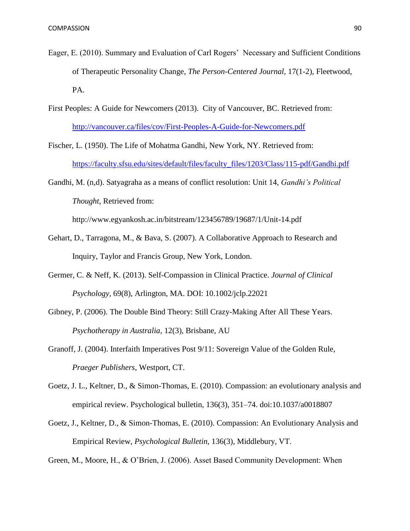- Eager, E. (2010). Summary and Evaluation of Carl Rogers' Necessary and Sufficient Conditions of Therapeutic Personality Change, *The Person-Centered Journal,* 17(1-2), Fleetwood, PA.
- First Peoples: A Guide for Newcomers (2013). City of Vancouver, BC. Retrieved from: <http://vancouver.ca/files/cov/First-Peoples-A-Guide-for-Newcomers.pdf>
- Fischer, L. (1950). The Life of Mohatma Gandhi, New York, NY. Retrieved from: [https://faculty.sfsu.edu/sites/default/files/faculty\\_files/1203/Class/115-pdf/Gandhi.pdf](https://faculty.sfsu.edu/sites/default/files/faculty_files/1203/Class/115-pdf/Gandhi.pdf)
- Gandhi, M. (n,d). Satyagraha as a means of conflict resolution: Unit 14, *Gandhi's Political Thought,* Retrieved from:

http://www.egyankosh.ac.in/bitstream/123456789/19687/1/Unit-14.pdf

- Gehart, D., Tarragona, M., & Bava, S. (2007). A Collaborative Approach to Research and Inquiry, Taylor and Francis Group, New York, London.
- Germer, C. & Neff, K. (2013). Self-Compassion in Clinical Practice. *Journal of Clinical Psychology,* 69(8), Arlington, MA. DOI: 10.1002/jclp.22021
- Gibney, P. (2006). The Double Bind Theory: Still Crazy-Making After All These Years. *Psychotherapy in Australia,* 12(3), Brisbane, AU
- Granoff, J. (2004). Interfaith Imperatives Post 9/11: Sovereign Value of the Golden Rule, *Praeger Publishers,* Westport, CT.
- Goetz, J. L., Keltner, D., & Simon-Thomas, E. (2010). Compassion: an evolutionary analysis and empirical review. Psychological bulletin, 136(3), 351–74. doi:10.1037/a0018807
- Goetz, J., Keltner, D., & Simon-Thomas, E. (2010). Compassion: An Evolutionary Analysis and Empirical Review, *Psychological Bulletin,* 136(3), Middlebury, VT.

Green, M., Moore, H., & O'Brien, J. (2006). Asset Based Community Development: When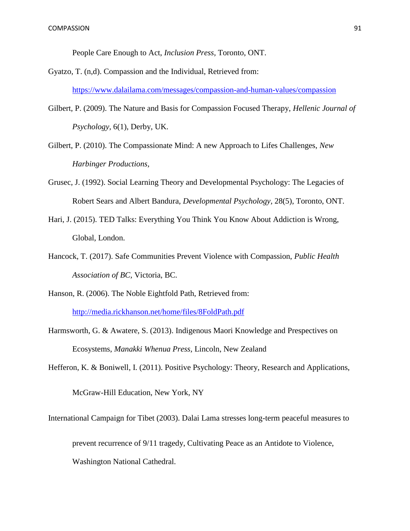People Care Enough to Act, *Inclusion Press,* Toronto, ONT.

- Gyatzo, T. (n,d). Compassion and the Individual, Retrieved from: <https://www.dalailama.com/messages/compassion-and-human-values/compassion>
- Gilbert, P. (2009). The Nature and Basis for Compassion Focused Therapy, *Hellenic Journal of Psychology,* 6(1), Derby, UK.
- Gilbert, P. (2010). The Compassionate Mind: A new Approach to Lifes Challenges, *New Harbinger Productions,*
- Grusec, J. (1992). Social Learning Theory and Developmental Psychology: The Legacies of Robert Sears and Albert Bandura, *Developmental Psychology,* 28(5), Toronto, ONT.
- Hari, J. (2015). TED Talks: Everything You Think You Know About Addiction is Wrong, Global, London.
- Hancock, T. (2017). Safe Communities Prevent Violence with Compassion, *Public Health Association of BC,* Victoria, BC.
- Hanson, R. (2006). The Noble Eightfold Path, Retrieved from:

<http://media.rickhanson.net/home/files/8FoldPath.pdf>

Harmsworth, G. & Awatere, S. (2013). Indigenous Maori Knowledge and Prespectives on Ecosystems, *Manakki Whenua Press,* Lincoln, New Zealand

Hefferon, K. & Boniwell, I. (2011). Positive Psychology: Theory, Research and Applications,

McGraw-Hill Education, New York, NY

International Campaign for Tibet (2003). Dalai Lama stresses long-term peaceful measures to

prevent recurrence of 9/11 tragedy, Cultivating Peace as an Antidote to Violence,

Washington National Cathedral.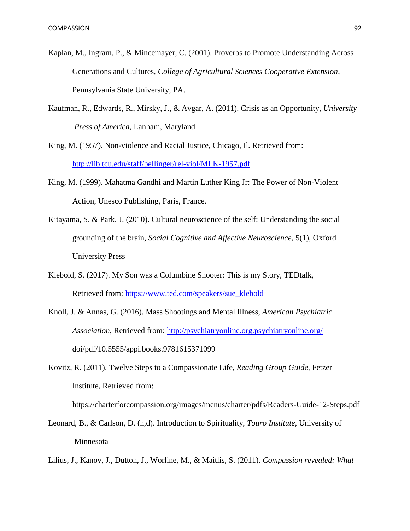- Kaplan, M., Ingram, P., & Mincemayer, C. (2001). Proverbs to Promote Understanding Across Generations and Cultures, *College of Agricultural Sciences Cooperative Extension*, Pennsylvania State University, PA.
- Kaufman, R., Edwards, R., Mirsky, J., & Avgar, A. (2011). Crisis as an Opportunity, *University Press of America,* Lanham, Maryland

King, M. (1957). Non-violence and Racial Justice, Chicago, Il. Retrieved from: <http://lib.tcu.edu/staff/bellinger/rel-viol/MLK-1957.pdf>

- King, M. (1999). Mahatma Gandhi and Martin Luther King Jr: The Power of Non-Violent Action, Unesco Publishing, Paris, France.
- Kitayama, S. & Park, J. (2010). Cultural neuroscience of the self: Understanding the social grounding of the brain, *Social Cognitive and Affective Neuroscience*, 5(1), Oxford University Press
- Klebold, S. (2017). My Son was a Columbine Shooter: This is my Story, TEDtalk, Retrieved from: [https://www.ted.com/speakers/sue\\_klebold](https://www.ted.com/speakers/sue_klebold)
- Knoll, J. & Annas, G. (2016). Mass Shootings and Mental Illness, *American Psychiatric Association,* Retrieved from:<http://psychiatryonline.org.psychiatryonline.org/> doi/pdf/10.5555/appi.books.9781615371099
- Kovitz, R. (2011). Twelve Steps to a Compassionate Life, *Reading Group Guide,* Fetzer Institute, Retrieved from:

https://charterforcompassion.org/images/menus/charter/pdfs/Readers-Guide-12-Steps.pdf

Leonard, B., & Carlson, D. (n,d). Introduction to Spirituality, *Touro Institute,* University of Minnesota

Lilius, J., Kanov, J., Dutton, J., Worline, M., & Maitlis, S. (2011). *Compassion revealed: What*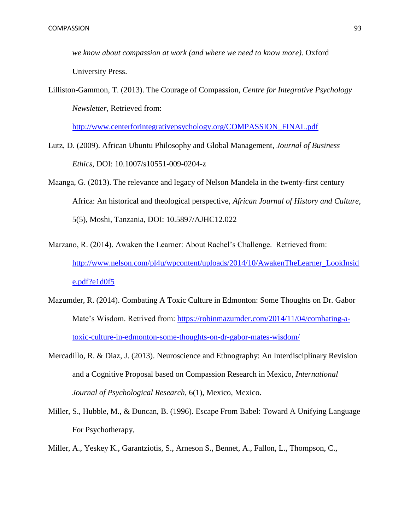*we know about compassion at work (and where we need to know more).* Oxford University Press.

Lilliston-Gammon, T. (2013). The Courage of Compassion, *Centre for Integrative Psychology Newsletter,* Retrieved from:

[http://www.centerforintegrativepsychology.org/COMPASSION\\_FINAL.pdf](http://www.centerforintegrativepsychology.org/COMPASSION_FINAL.pdf)

- Lutz, D. (2009). African Ubuntu Philosophy and Global Management, *Journal of Business Ethics,* DOI: 10.1007/s10551-009-0204-z
- Maanga, G. (2013). The relevance and legacy of Nelson Mandela in the twenty-first century Africa: An historical and theological perspective, *African Journal of History and Culture,*  5(5), Moshi, Tanzania, DOI: 10.5897/AJHC12.022
- Marzano, R. (2014). Awaken the Learner: About Rachel's Challenge. Retrieved from: [http://www.nelson.com/pl4u/wpcontent/uploads/2014/10/AwakenTheLearner\\_LookInsid](http://www.nelson.com/pl4u/wpcontent/uploads/2014/10/AwakenTheLearner_LookInside.pdf?e1d0f5) [e.pdf?e1d0f5](http://www.nelson.com/pl4u/wpcontent/uploads/2014/10/AwakenTheLearner_LookInside.pdf?e1d0f5)
- Mazumder, R. (2014). Combating A Toxic Culture in Edmonton: Some Thoughts on Dr. Gabor Mate's Wisdom. Retrived from: [https://robinmazumder.com/2014/11/04/combating-a](https://robinmazumder.com/2014/11/04/combating-a-toxic-culture-in-edmonton-some-thoughts-on-dr-gabor-mates-wisdom/)[toxic-culture-in-edmonton-some-thoughts-on-dr-gabor-mates-wisdom/](https://robinmazumder.com/2014/11/04/combating-a-toxic-culture-in-edmonton-some-thoughts-on-dr-gabor-mates-wisdom/)
- Mercadillo, R. & Diaz, J. (2013). Neuroscience and Ethnography: An Interdisciplinary Revision and a Cognitive Proposal based on Compassion Research in Mexico, *International Journal of Psychological Research,* 6(1), Mexico, Mexico.
- Miller, S., Hubble, M., & Duncan, B. (1996). Escape From Babel: Toward A Unifying Language For Psychotherapy,
- Miller, A., Yeskey K., Garantziotis, S., Arneson S., Bennet, A., Fallon, L., Thompson, C.,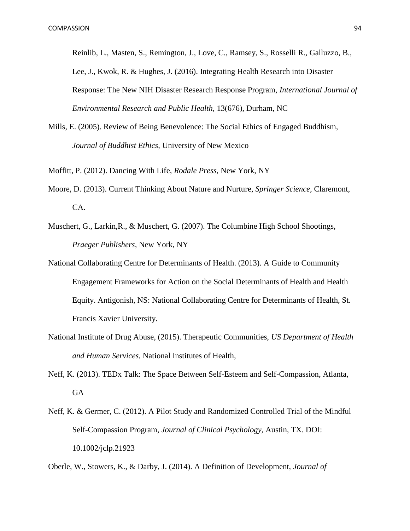Reinlib, L., Masten, S., Remington, J., Love, C., Ramsey, S., Rosselli R., Galluzzo, B., Lee, J., Kwok, R. & Hughes, J. (2016). Integrating Health Research into Disaster Response: The New NIH Disaster Research Response Program, *International Journal of Environmental Research and Public Health,* 13(676), Durham, NC

- Mills, E. (2005). Review of Being Benevolence: The Social Ethics of Engaged Buddhism, *Journal of Buddhist Ethics,* University of New Mexico
- Moffitt, P. (2012). Dancing With Life, *Rodale Press,* New York, NY
- Moore, D. (2013). Current Thinking About Nature and Nurture, *Springer Science,* Claremont, CA.
- Muschert, G., Larkin,R., & Muschert, G. (2007). The Columbine High School Shootings, *Praeger Publishers,* New York, NY
- National Collaborating Centre for Determinants of Health. (2013). A Guide to Community Engagement Frameworks for Action on the Social Determinants of Health and Health Equity. Antigonish, NS: National Collaborating Centre for Determinants of Health, St. Francis Xavier University.
- National Institute of Drug Abuse, (2015). Therapeutic Communities, *US Department of Health and Human Services,* National Institutes of Health,
- Neff, K. (2013). TEDx Talk: The Space Between Self-Esteem and Self-Compassion, Atlanta, GA
- Neff, K. & Germer, C. (2012). A Pilot Study and Randomized Controlled Trial of the Mindful Self-Compassion Program, *Journal of Clinical Psychology,* Austin, TX. DOI: 10.1002/jclp.21923
- Oberle, W., Stowers, K., & Darby, J. (2014). A Definition of Development, *Journal of*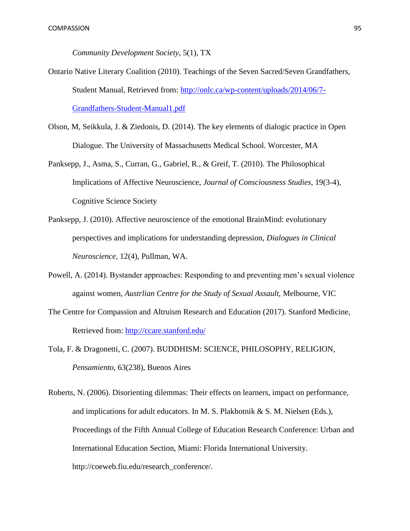*Community Development Society,* 5(1), TX

- Ontario Native Literary Coalition (2010). Teachings of the Seven Sacred/Seven Grandfathers, Student Manual, Retrieved from: [http://onlc.ca/wp-content/uploads/2014/06/7-](http://onlc.ca/wp-content/uploads/2014/06/7-Grandfathers-Student-Manual1.pdf) [Grandfathers-Student-Manual1.pdf](http://onlc.ca/wp-content/uploads/2014/06/7-Grandfathers-Student-Manual1.pdf)
- Olson, M, Seikkula, J. & Ziedonis, D. (2014). The key elements of dialogic practice in Open Dialogue. The University of Massachusetts Medical School. Worcester, MA
- Panksepp, J., Asma, S., Curran, G., Gabriel, R., & Greif, T. (2010). The Philosophical Implications of Affective Neuroscience, *Journal of Consciousness Studies,* 19(3-4), Cognitive Science Society
- Panksepp, J. (2010). Affective neuroscience of the emotional BrainMind: evolutionary perspectives and implications for understanding depression, *Dialogues in Clinical Neuroscience,* 12(4), Pullman, WA.
- Powell, A. (2014). Bystander approaches: Responding to and preventing men's sexual violence against women, *Austrlian Centre for the Study of Sexual Assault,* Melbourne, VIC
- The Centre for Compassion and Altruism Research and Education (2017). Stanford Medicine, Retrieved from:<http://ccare.stanford.edu/>
- Tola, F. & Dragonetti, C. (2007). BUDDHISM: SCIENCE, PHILOSOPHY, RELIGION, *Pensamiento,* 63(238), Buenos Aires
- Roberts, N. (2006). Disorienting dilemmas: Their effects on learners, impact on performance, and implications for adult educators. In M. S. Plakhotnik & S. M. Nielsen (Eds.), Proceedings of the Fifth Annual College of Education Research Conference: Urban and International Education Section, Miami: Florida International University. http://coeweb.fiu.edu/research\_conference/.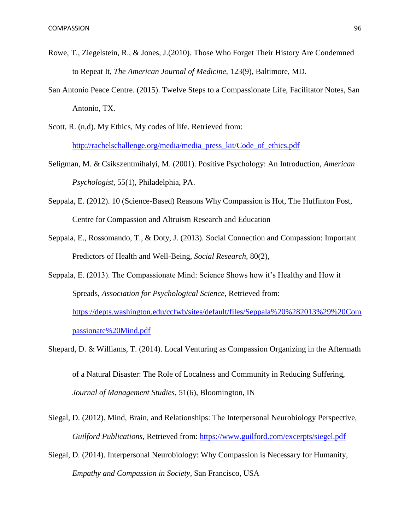- Rowe, T., Ziegelstein, R., & Jones, J.(2010). Those Who Forget Their History Are Condemned to Repeat It, *The American Journal of Medicine,* 123(9), Baltimore, MD.
- San Antonio Peace Centre. (2015). Twelve Steps to a Compassionate Life, Facilitator Notes, San Antonio, TX.
- Scott, R. (n,d). My Ethics, My codes of life. Retrieved from: [http://rachelschallenge.org/media/media\\_press\\_kit/Code\\_of\\_ethics.pdf](http://rachelschallenge.org/media/media_press_kit/Code_of_ethics.pdf)
- Seligman, M. & Csikszentmihalyi, M. (2001). Positive Psychology: An Introduction, *American Psychologist,* 55(1), Philadelphia, PA.
- Seppala, E. (2012). 10 (Science-Based) Reasons Why Compassion is Hot, The Huffinton Post, Centre for Compassion and Altruism Research and Education
- Seppala, E., Rossomando, T., & Doty, J. (2013). Social Connection and Compassion: Important Predictors of Health and Well-Being, *Social Research,* 80(2),
- Seppala, E. (2013). The Compassionate Mind: Science Shows how it's Healthy and How it Spreads, *Association for Psychological Science,* Retrieved from: [https://depts.washington.edu/ccfwb/sites/default/files/Seppala%20%282013%29%20Com](https://depts.washington.edu/ccfwb/sites/default/files/Seppala%20%282013%29%20Compassionate%20Mind.pdf) [passionate%20Mind.pdf](https://depts.washington.edu/ccfwb/sites/default/files/Seppala%20%282013%29%20Compassionate%20Mind.pdf)
- Shepard, D. & Williams, T. (2014). Local Venturing as Compassion Organizing in the Aftermath of a Natural Disaster: The Role of Localness and Community in Reducing Suffering, *Journal of Management Studies,* 51(6), Bloomington, IN
- Siegal, D. (2012). Mind, Brain, and Relationships: The Interpersonal Neurobiology Perspective, *Guilford Publications,* Retrieved from:<https://www.guilford.com/excerpts/siegel.pdf>
- Siegal, D. (2014). Interpersonal Neurobiology: Why Compassion is Necessary for Humanity, *Empathy and Compassion in Society,* San Francisco, USA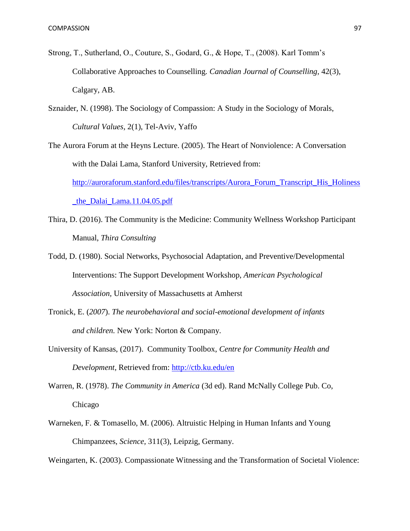- Strong, T., Sutherland, O., Couture, S., Godard, G., & Hope, T., (2008). Karl Tomm's Collaborative Approaches to Counselling. *Canadian Journal of Counselling,* 42(3), Calgary, AB.
- Sznaider, N. (1998). The Sociology of Compassion: A Study in the Sociology of Morals, *Cultural Values,* 2(1), Tel-Aviv, Yaffo

The Aurora Forum at the Heyns Lecture. (2005). The Heart of Nonviolence: A Conversation with the Dalai Lama, Stanford University, Retrieved from: [http://auroraforum.stanford.edu/files/transcripts/Aurora\\_Forum\\_Transcript\\_His\\_Holiness](http://auroraforum.stanford.edu/files/transcripts/Aurora_Forum_Transcript_His_Holiness_the_Dalai_Lama.11.04.05.pdf) [\\_the\\_Dalai\\_Lama.11.04.05.pdf](http://auroraforum.stanford.edu/files/transcripts/Aurora_Forum_Transcript_His_Holiness_the_Dalai_Lama.11.04.05.pdf)

- Thira, D. (2016). The Community is the Medicine: Community Wellness Workshop Participant Manual, *Thira Consulting*
- Todd, D. (1980). Social Networks, Psychosocial Adaptation, and Preventive/Developmental Interventions: The Support Development Workshop, *American Psychological Association,* University of Massachusetts at Amherst
- Tronick, E. (*2007*). *The neurobehavioral and social-emotional development of infants and children.* New York: Norton & Company.
- University of Kansas, (2017). Community Toolbox, *Centre for Community Health and Development,* Retrieved from:<http://ctb.ku.edu/en>
- Warren, R. (1978). *The Community in America* (3d ed). Rand McNally College Pub. Co, Chicago
- Warneken, F. & Tomasello, M. (2006). Altruistic Helping in Human Infants and Young Chimpanzees, *Science,* 311(3), Leipzig, Germany.

Weingarten, K. (2003). Compassionate Witnessing and the Transformation of Societal Violence: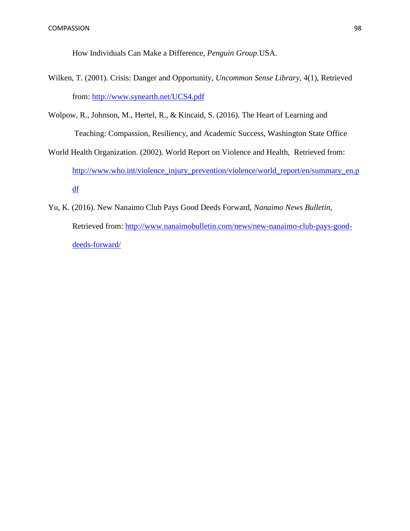How Individuals Can Make a Difference, *Penguin Group.*USA.

- Wilken, T. (2001). Crisis: Danger and Opportunity, *Uncommon Sense Library,* 4(1), Retrieved from:<http://www.synearth.net/UCS4.pdf>
- Wolpow, R., Johnson, M., Hertel, R., & Kincaid, S. (2016). The Heart of Learning and Teaching: Compassion, Resiliency, and Academic Success, Washington State Office
- World Health Organization. (2002). World Report on Violence and Health, Retrieved from: [http://www.who.int/violence\\_injury\\_prevention/violence/world\\_report/en/summary\\_en.p](http://www.who.int/violence_injury_prevention/violence/world_report/en/summary_en.pdf) [df](http://www.who.int/violence_injury_prevention/violence/world_report/en/summary_en.pdf)
- Yu, K. (2016). New Nanaimo Club Pays Good Deeds Forward, *Nanaimo News Bulletin,* Retrieved from: [http://www.nanaimobulletin.com/news/new-nanaimo-club-pays-good](http://www.nanaimobulletin.com/news/new-nanaimo-club-pays-good-deeds-forward/)[deeds-forward/](http://www.nanaimobulletin.com/news/new-nanaimo-club-pays-good-deeds-forward/)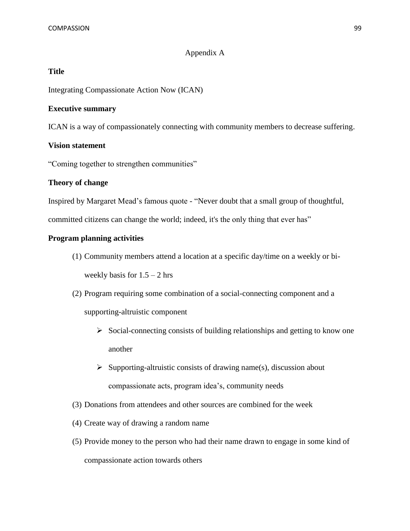# Appendix A

# **Title**

Integrating Compassionate Action Now (ICAN)

# **Executive summary**

ICAN is a way of compassionately connecting with community members to decrease suffering.

# **Vision statement**

"Coming together to strengthen communities"

# **Theory of change**

Inspired by Margaret Mead's famous quote - "Never doubt that a small group of thoughtful,

committed citizens can change the world; indeed, it's the only thing that ever has"

# **Program planning activities**

- (1) Community members attend a location at a specific day/time on a weekly or biweekly basis for  $1.5 - 2$  hrs
- (2) Program requiring some combination of a social-connecting component and a

supporting-altruistic component

- $\triangleright$  Social-connecting consists of building relationships and getting to know one another
- $\triangleright$  Supporting-altruistic consists of drawing name(s), discussion about compassionate acts, program idea's, community needs
- (3) Donations from attendees and other sources are combined for the week
- (4) Create way of drawing a random name
- (5) Provide money to the person who had their name drawn to engage in some kind of compassionate action towards others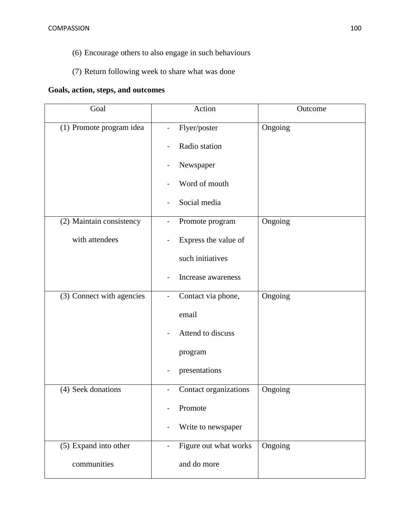- (6) Encourage others to also engage in such behaviours
- (7) Return following week to share what was done

# **Goals, action, steps, and outcomes**

| Goal                                 | Action                                                                                                   | Outcome |
|--------------------------------------|----------------------------------------------------------------------------------------------------------|---------|
| (1) Promote program idea             | Flyer/poster<br>$\blacksquare$<br>Radio station<br>Newspaper<br>Word of mouth<br>Social media            | Ongoing |
| (2) Maintain consistency             | Promote program                                                                                          | Ongoing |
| with attendees                       | Express the value of<br>such initiatives<br>Increase awareness                                           |         |
| (3) Connect with agencies            | Contact via phone,<br>$\overline{\phantom{0}}$<br>email<br>Attend to discuss<br>program<br>presentations | Ongoing |
| (4) Seek donations                   | Contact organizations<br>Promote<br>Write to newspaper                                                   | Ongoing |
| (5) Expand into other<br>communities | Figure out what works<br>and do more                                                                     | Ongoing |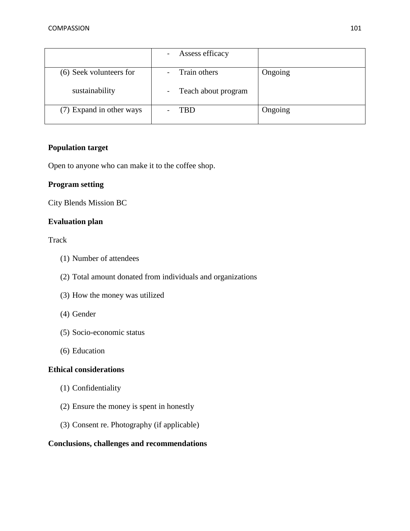|                          | Assess efficacy       |         |
|--------------------------|-----------------------|---------|
| (6) Seek volunteers for  | Train others          | Ongoing |
| sustainability           | - Teach about program |         |
| (7) Expand in other ways | TBD                   | Ongoing |

# **Population target**

Open to anyone who can make it to the coffee shop.

# **Program setting**

City Blends Mission BC

# **Evaluation plan**

## Track

- (1) Number of attendees
- (2) Total amount donated from individuals and organizations
- (3) How the money was utilized
- (4) Gender
- (5) Socio-economic status
- (6) Education

# **Ethical considerations**

- (1) Confidentiality
- (2) Ensure the money is spent in honestly
- (3) Consent re. Photography (if applicable)

# **Conclusions, challenges and recommendations**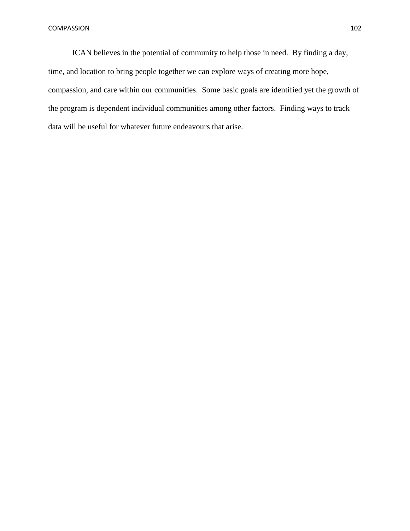ICAN believes in the potential of community to help those in need. By finding a day, time, and location to bring people together we can explore ways of creating more hope, compassion, and care within our communities. Some basic goals are identified yet the growth of the program is dependent individual communities among other factors. Finding ways to track data will be useful for whatever future endeavours that arise.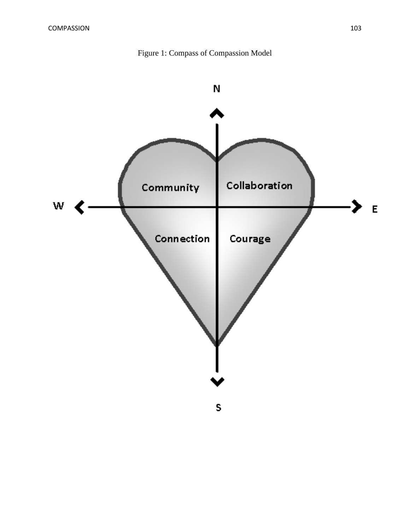

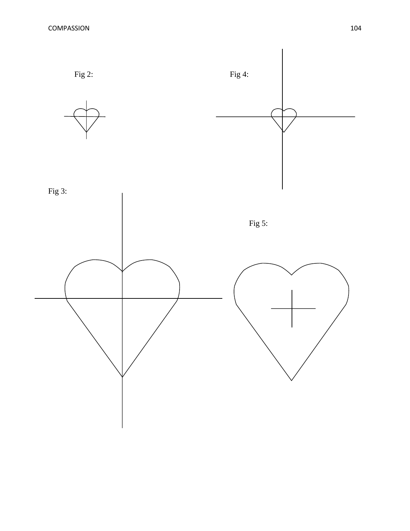